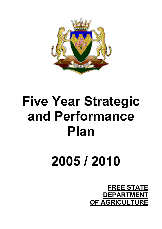

# **Five Year Strategic and Performance Plan**

# **2005 / 2010**

# **FREE STATE DEPARTMENT OF AGRICULTURE**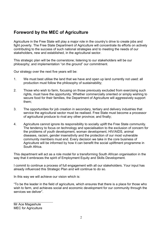## **Foreword by the MEC of Agriculture**

Agriculture in the Free State will play a major role in the country's drive to create jobs and fight poverty. The Free State Department of Agriculture will concentrate its efforts on actively contributing to the success of such national strategies and to meeting the needs of our stakeholders, new and established, in the agricultural sector.

This strategic plan will be the cornerstone; listening to our stakeholders will be our philosophy; and implementation "on the ground" our commitment.

Our strategy over the next five years will be:

- 1. We must best utilise the land that we have and open up land currently not used: all production must follow the philosophy of sustainability;
- 2. Those who wish to farm, focusing on those previously excluded from exercising such rights, must have the opportunity. Whether commercially oriented or simply wishing to secure food for their families, the Department of Agriculture will aggressively support them;
- 3. The opportunities for job creation in secondary, tertiary and delivery industries that service the agricultural sector must be realised. Free State must become a processor of agricultural produce to rival any other province; and finally;
- 4. Agriculture cannot ignore its responsibility to socially uplift the Free State community. The tendency to focus on technology and specialisation to the exclusion of concern for the problems of youth development, woman development, HIV/AIDS, animal diseases, racism, gender insensitivity and the protection of our most vulnerable community members must end. Every decision we take in the core business of Agriculture will be informed by how it can benefit the social upliftment programme in South Africa.

This department will act as a role model for a transforming South African organisation in the way that it embraces the spirit of Employment Equity and Skills Development.

I commit to continue a process of full engagement with all our stakeholders. Your input has already influenced this Strategic Plan and will continue to do so.

In this way we will achieve our vision which is:

"To be the leader in the field of agriculture, which ensures that there is a place for those who wish to farm, and achieves social and economic development for our community through the services we deliver".

Mr Ace Magashule MEC for Agriculture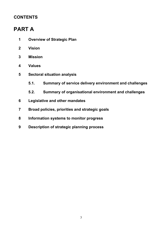## **CONTENTS**

## **PART A**

- **1 Overview of Strategic Plan**
- **2 Vision**
- **3 Mission**
- **4 Values**
- **5 Sectoral situation analysis** 
	- **5.1. Summary of service delivery environment and challenges**
	- **5.2. Summary of organisational environment and challenges**
- **6 Legislative and other mandates**
- **7 Broad policies, priorities and strategic goals**
- **8 Information systems to monitor progress**
- **9 Description of strategic planning process**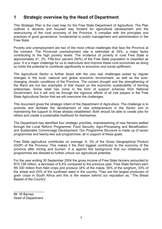## **1 Strategic overview by the Head of Department**

This Strategic Plan is the road map for the Free State Department of Agriculture. The Plan outlines a decisive and focused way forward for agricultural development and the restructuring of the rural economy of the Province. It complies with the principles and practices of good governance, fundamental to public management and administration in the Free State.

Poverty and unemployment are two of the most critical challenges that face the Province at the moment. The Provincial unemployment rate is estimated at 34%, a major factor contributing to the high poverty levels. The incidence of poverty in rural Free State is approximately 41, 3%. Fifty-four percent (54%) of the Free State population is classified as poor. It is a major challenge for us to restructure and improve these rural economies as doing so holds the potential to contribute significantly to economic and social upliftment.

The Agricultural Sector is further faced with the very real challenges posed by regular changes in the local, national and global economic environment, as well as the everchanging climatic conditions of the Province. The current drought and the strengthening of the Rand are but two examples of that impact on the economic sustainability of farming enterprises. Some relief has come in the form of support schemes from National Government, but it will only be through the vigorous efforts of all role players in the Free State Agricultural Sector that we will overcome the challenges.

This document gives the strategic intent of the Department of Agriculture. The challenge is to promote and facilitate the development of new entrepreneurs in the Sector and to maintaining the support to those already established. Both should be able to create jobs for others and create a sustainable livelihood for themselves.

The Department has identified four strategic priorities: mainstreaming of new farmers settled through the Local Reform Programme; Food Security; Agro-Processing and Beneficiation; and Sustainable Commonage Development. Our Programme Structure is made up of seven programmes and twenty-two sub-programmes, all in support of these goals.

Free State agriculture contributes on average, 9, 3% of the Gross Geographical Product (GGP) of the Province. This makes it the third biggest contributor to the economy of the province after mining and tourism. It is against this background that our initiatives and programmes are directed to further unlock our agricultural potential.

For the year ending 30 September 2004 the gross income of Free State farmers amounted to R10 728 million, a decrease of 6,5% compared to the previous year. Free State farmers earn R5 330 million from field crops and produce 34% of the maize, 50% of the sorghum, 33% of the wheat and 43% of the sunflower seed in the country. They are the largest producers of grain crops in South Africa and this is the reason behind our reputation as, "The Bread Basket of the Country".

Mr. W Barnes Head of Department

 $\_$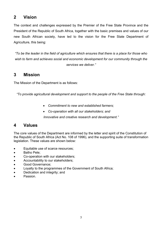## **2 Vision**

The context and challenges expressed by the Premier of the Free State Province and the President of the Republic of South Africa, together with the basic premises and values of our new South African society, have led to the vision for the Free State Department of Agriculture, this being:

*"To be the leader in the field of agriculture which ensures that there is a place for those who wish to farm and achieves social and economic development for our community through the services we deliver."* 

## **3 Mission**

The Mission of the Department is as follows:

*"To provide agricultural development and support to the people of the Free State through:* 

- *Commitment to new and established farmers;*
- *Co-operation with all our stakeholders; and*

*Innovative and creative research and development."* 

## **4 Values**

The core values of the Department are informed by the letter and spirit of the Constitution of the Republic of South Africa (Act No. 108 of 1996), and the supporting suite of transformation legislation. These values are shown below:

- Equitable use of scarce resources;
- Batho Pele:
- Co-operation with our stakeholders;
- Accountability to our stakeholders;
- Good Governance;
- Loyalty to the programmes of the Government of South Africa;
- Dedication and integrity; and
- Passion.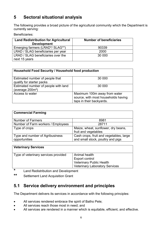## **5 Sectoral situational analysis**

The following provides a broad picture of the agricultural community which the Department is currently serving:

Beneficiaries:

| <b>Land Redistribution for Agricultural</b><br><b>Development</b> | <b>Number of beneficiaries</b> |
|-------------------------------------------------------------------|--------------------------------|
| Emerging farmers (LRAD*/ SLAG**)                                  | 90339                          |
| LRAD / SLAG beneficiaries per year                                | 2000                           |
| LRAD / SLAG beneficiaries over the                                | 30 000                         |
| next 15 years                                                     |                                |

| Household Food Security / Household food production          |                                                                                                 |
|--------------------------------------------------------------|-------------------------------------------------------------------------------------------------|
| Estimated number of people that<br>qualify for starter packs | 30 000                                                                                          |
| Estimated number of people with land<br>(average $200m^2$ )  | 30 000                                                                                          |
| Access to water                                              | Maximum 100m away from water<br>source, with most households having<br>taps in their backyards. |

| <b>Commercial Farming</b>          |                                         |
|------------------------------------|-----------------------------------------|
| <b>Number of Farmers</b>           | 8981                                    |
| Number of Farm workers / Employees | 28711                                   |
| Type of crops                      | Maize, wheat, sunflower, dry beans,     |
|                                    | fruit and vegetables                    |
| Type and number of Agribusiness    | Cash crops, fruit and vegetables, large |
| opportunities                      | and small stock, poultry and pigs       |

| <b>Veterinary Services</b>           |                                                                                                             |
|--------------------------------------|-------------------------------------------------------------------------------------------------------------|
| Type of veterinary services provided | Animal health<br><b>Export control</b><br>Veterinary Public Health<br><b>Veterinary Laboratory Services</b> |
|                                      |                                                                                                             |

**\*** Land Redistribution and Development

**\*\*** Settlement Land Acquisition Grant

## **5.1 Service delivery environment and principles**

The Department delivers its services in accordance with the following principles:

- All services rendered embrace the spirit of Batho Pele;
- All services reach those most in need; and
- All services are rendered in a manner which is equitable, efficient, and effective.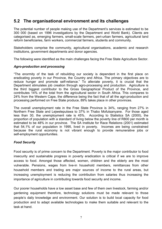## **5.2 The organisational environment and its challenges**

The potential number of people making use of the Department's services is estimated to be 300 000 (based on 1996 investigations by the Department and World Bank). Clients are categorised as, emerging farmers, small-scale farmers, peri-urban farmers, agricultural land reform beneficiaries, farm workers, commercial farmers, students and community.

Stakeholders comprise the community, agricultural organisations, academic and research institutions, government departments and donor agencies.

The following were identified as the main challenges facing the Free State Agriculture Sector.

#### *Agro-production and processing*

"The enormity of the task of rebuilding our society is dependent in the first place on eradicating poverty in our Province, the Country and Africa. The primary objectives are to reduce hunger and promote self-reliance." To alleviate poverty, it is crucial that the Department stimulates job creation through agro-processing and production. Agriculture is the third biggest contributor to the Gross Geographical Product of the Province, and contributes 14% of the total from the agricultural sector in South Africa. This compares to 24% from the Western Cape, the difference being the fact that of all the agri-production and processing performed on Free State produce, 89% takes place in other provinces.

The overall unemployment rate in the Free State Province is 34%, ranging from 27% in Northern Free State and Lejweleputswa to 37% in Thabo Mofutsanyane. For those aged less than 30, the unemployment rate is 45%. According to Statistics SA (2000), the proportion of population with a standard of living below the poverty line of R800 per month is estimated to be 48% in our province. The SA Institute for Race Relations (2001) estimated that 54,1% of our population in 1995, lived in poverty. Incomes are being constrained because the rural economy is not vibrant enough to provide remunerative jobs or self-employment opportunities.

#### *Food Security*

Food security is of prime concern to the Department. Poverty is the major contributor to food insecurity and sustainable progress in poverty eradication is critical if we are to improve access to food. Amongst those affected, women, children and the elderly are the most vulnerable. Pensions, wages from live-in household members, remittances from other household members and trading are major sources of income to the rural areas, but increasing unemployment is reducing the contribution from salaries thus increasing the importance of agriculture in contributing towards food security and income.

Our poorer households have a low asset base and few of them own livestock, farming and/or gardening equipment therefore, technology solutions must be made relevant to those people's daily knowledge and environment. Our solution is to build local capacity for food production and to adapt available technologies to make them suitable and relevant to the task at hand.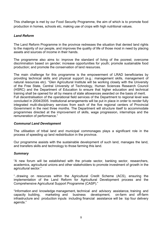This challenge is met by our Food Security Programme, the aim of which is to promote food production in homes, schools etc, making use of crops with high nutritional values.

#### *Land Reform*

The Land Reform Programme in the province redresses the situation that denied land rights to the majority of our people, and improves the quality of life of those most in need by placing assets and sources of income in their hands.

The programme also aims to: improve the standard of living of the poorest; overcome discrimination based on gender; increase opportunities for youth; promote sustainable food production; and promote the conservation of land resources.

The main challenge for this programme is the empowerment of LRAD beneficiaries by providing technical skills and physical support (e.g.: management skills, management of natural resources etc). "Glen Agricultural Institute will be working closely with the University of the Free State, Central University of Technology, Human Sciences Research Council (HSRC) and the Department of Education to ensure that higher education and technical training shall be opened for all by means of state allowances awarded on the basis of merit. Full decentralisation of the operational field services of the Department to regional level was concluded in 2004/2005. Institutional arrangements will be put in place in order to render fully integrated multi-disciplinary services from each of the five regional centers of Provincial Government in the next three months. The Department will structure itself to accommodate programmes directed at the improvement of skills, wage progression, internships and the remuneration of performance."

#### *Communal Land Development*

The utilisation of tribal land and municipal commonages plays a significant role in the process of speeding up land redistribution in the province.

Our programme assists with the sustainable development of such land, manages the land, and transfers skills and technology to those farming this land.

#### *Summary*

"A new forum will be established with the private sector, banking sector, researchers, academics, agricultural unions and other stakeholders to promote investment of growth in the agricultural sector."

"..drawing on resources within the Agricultural Credit Scheme (ACS), ensuring the implementation of the Land Reform for Agricultural Development process and the Comprehensive Agricultural Support Programme (CASP)."

"Information and knowledge management, technical and advisory assistance, training and capacity building, marketing and business development, on-farm and off-farm infrastructure and production inputs including financial assistance will be top four delivery agenda."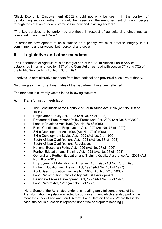"Black Economic Empowerment (BEE) should not only be seen in the context of transforming sectors rather it should be seen as the empowerment of black people through the creation of new enterprises in new and existing sectors."

"The key services to be performed are those in respect of agricultural engineering, soil conservation and Land Care."

"In order for development to be sustained as a priority, we must practice integrity in our commitments and practices, both personal and social.'

## **6 Legislative and other mandates**

The Department of Agriculture is an integral part of the South African Public Service established in terms of section 197 of the Constitution as read with section 7(1) and 7(2) of the Public Service Act (Act No. 103 of 1994).

It derives its administrative mandate from both national and provincial executive authority.

No changes in the current mandates of the Department have been effected.

The mandate is currently vested in the following statutes:

#### **A. Transformation legislation.**

- The Constitution of the Republic of South Africa Act, 1996 (Act No. 108 of 1996)
- Employment Equity Act, 1998 (Act No. 55 of 1998)
- Preferential Procurement Policy Framework Act, 2000 (Act No. 5 of 2000)
- Labour Relations Act, 1995 (Act No. 66 of 1995)
- Basic Conditions of Employment Act, 1997 (Act No. 75 of 1997)
- Skills Development Act, 1998 (Act No. 97 of 1998)
- Skills Development Levies Act, 1999 (Act No. 9 of 1999)
- South African Qualifications Act, 1995 (Act No. 58 of 1995)
- South African Qualifications Regulations
- National Education Policy Act, 1996 (Act No. 27 of 1996)
- Further Education and Training Act, 1998 (Act No. 98 of 1998)
- General and Further Education and Training Quality Assurance Act, 2001 (Act No. 58 of 2001)
- Employment of Education and Training Act, 1998 (Act No. 76 of 1998)
- Higher Education and Training Act, 1997 (Act No. 101 of 1997)
- Adult Basic Education Training Act, 2000 (Act No. 52 of 2000)
- Land Redistribution Policy for Agricultural Development
- Designated Areas Development Act, 1997 (Act No. 87 of 1997)
- Land Reform Act, 1997 (Act No. 3 of 1997)

[Note: Some of the Acts listed under this heading are vital components of the Transformation Legislation enacted by our government which are also part of the mandates under Land and Land Reform, Land Care and so on. Where this is the case, the Act in question is repeated under the appropriate heading.]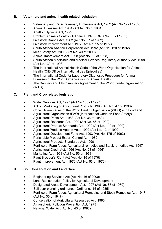#### **B. Veterinary and animal health related legislation**

- Veterinary and Para-Veterinary Professions Act, 1982 (Act No.19 of 1982)
- Animal Diseases Act, 1984 (Act No. 35 of 1984)
- Abattoir Hygiene Act, 1992
- Problem Animals Control Ordinance, 1978 (ORD No. 38 of 1965)
- Livestock Brands Act, 1962 (Act No. 87 of 1962)
- Livestock Improvement Act, 1977 (Act No. 25 of 1977)
- South African Abattoir Corporation Act, 1992 (Act No. 120 of 1992)
- Meat Safety Act, 2000 (Act No. 40 of 2000)
- Animal Improvement Act, 1998 (Act No. 62 of 1998)
- South African Medicines and Medical Devices Regulatory Authority Act, 1998 (Act No.132 of 1998)
- The International Animal Health Code of the World Organisation for Animal Health (OIE-Office International des Epizooties)
- The International Code for Laboratory Diagnostic Procedure for Animal Diseases of the World Organisation for Animal Health.
- The Sanitary and Phytosanitary Agreement of the World Trade Organisation (WTO)

#### **C. Plant and Crop related legislation**

- Water Services Act, 1997 (Act No.108 of 1997)
- Act on Marketing of Agricultural Products, 1996 (Act No. 47 of 1996)
- Codex Alimentarius of the World Health Organisation (WHO) and Food and Agricultural Organisation (FAO) (International Code on Food Safety).
- Agricultural Pests Act, 1983 (Act No. 36 of 1983)
- Agricultural Research Act, 1990 (Act No. 86 of 1990)
- Agricultural Product Standards Act, 1990 (Act No. 119 of 1990)
- Agriculture Produce Agents Acts, 1992 (Act No. 12 of 1992)
- Agricultural Development Fund Act, 1993 (Act No. 175 of 1993)
- Perishable Product Export Control Act, 1982
- Agricultural Products Standards Act, 1990
- Fertilisers, Farm feeds, Agricultural remedies and Stock remedies Act, 1947
- Agricultural Credit Act, 1966 (Act No. 28 of 1966)
- Marketing Act, 1968 (Act No. 59 of 1968)
- Plant Breeder's Right Act (Act No. 15 of 1976)
- Plant Improvement Act, 1976 (Act No. 53 of 1976)

#### **D. Soil Conservation and Land Care**

- Engineering Services Act (Act No. 46 of 2000)
- Land Redistribution Policy for Agricultural Development
- Designated Areas Development Act, 1997 (Act No. 87 of 1979)
- Soil user planning ordinance (Ordinance 15 of 1985)
- Fertilisers, Farm feeds, Agricultural Remedies and Stock Remedies Act, 1947 (Act No. 36 of 1947)
- Conservation of Agricultural Resources Act, 1983
- Atmospheric Pollution Prevention Act, 1973
- National Water Act (Act No. 43 of 1998)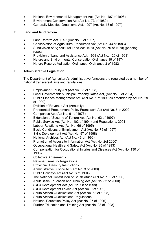- National Environmental Management Act, (Act No. 107 of 1998)
- Environment Conservation Act (Act No. 73 of 1989)
- Generally Modified Organisms Act, 1997 (Act No. 15 of 1997)

#### **E. Land and land reform**

- Land Reform Act, 1997 (Act No. 3 of 1997)
- Conservation of Agricultural Resources Act (Act No. 43 of 1983)
- Subdivision of Agricultural Land Act, 1970 (Act No. 70 of 1970) (pending repeal)
- Provision of Land and Assistance Act, 1993 (Act No. 126 of 1993)
- Nature and Environmental Conservation Ordinance 19 of 1974
- Nature Reserve Validation Ordinance, Ordinance 3 of 1982

#### **F. Administrative Legislation**

The Department of Agriculture's administrative functions are regulated by a number of national transversal laws and regulations.

- Employment Equity Act (Act No. 55 of 1998)
- Local Government: Municipal Property Rates Act, (Act No. 6 of 2004)
- Public Finance Management Act (Act No. 1 of 1999 as amended by Act No. 29 of 1999)
- Division of Revenue Act (Annually)
- Preferential Procurement Policy Framework Act (Act No. 5 of 2000)
- Companies Act (Act No. 61 of 1973)
- Extension of Security of Tenure Act (Act No. 62 of 1997)
- Public Service Act (Act No. 103 of 1994) and Regulations, 2001
- Labour Relations Act (Act No. 66 of 1995)
- Basic Conditions of Employment Act (Act No. 75 of 1997)
- Skills Development Act (Act No. 97 of 1998)
- National Archives Act (Act No. 43 of 1996)
- Promotion of Access to Information Act (Act No. 2of 2000)
- Occupational Health and Safety Act (Act No. 85 of 1993)
- Compensation for Occupational Injuries and Diseases Act (Act No. 130 of 1993)
- Collective Agreements
- National Treasury Regulations
- Provincial Treasury Instructions
- Administrative Justice Act (Act No. 3 of 2000)
- Public Holidays Act (Act No. 6 of 1994)
- The National Constitution of South Africa (Act No. 108 of 1996)
- Adult Basic Education and Training Act (Act No. 52 of 2000)
- Skills Development Act (Act No. 98 of 1998)
- Skills Development Levies Act (Act No. 9 of 1999)
- South African Qualifications Act (Act No. 58 of 1995)
- South African Qualifications Regulations
- National Education Policy Act (Act No. 27 of 1996)
- Further Education and Training Act (Act No. 98 of 1998)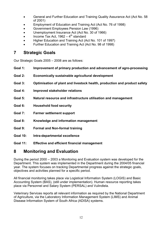- General and Further Education and Training Quality Assurance Act (Act No. 58 of 2001)
- Employment of Education and Training Act (Act No. 76 of 1998)
- Government Employees Pension Law (1996)
- Unemployment Insurance Act (Act No. 30 of 1966)
- Income Tax Act, 1962  $4^{\text{th}}$  standard
- Higher Education and Training Act (Act No. 101 of 1997)
- Further Education and Training Act (Act No. 98 of 1998)

### **7 Strategic Goals**

Our Strategic Goals 2005 – 2008 are as follows:

- **Goal 1: Improvement of primary production and advancement of agro-processing**
- **Goal 2: Economically sustainable agricultural development**
- **Goal 3: Optimisation of plant and livestock health, production and product safety**
- **Goal 4: Improved stakeholder relations**
- **Goal 5: Natural resource and infrastructure utilisation and management**
- **Goal 6: Household food security**
- **Goal 7: Farmer settlement support**
- **Goal 8: Knowledge and information management**
- **Goal 9: Formal and Non-formal training**
- **Goal 10: Intra-departmental excellence**
- **Goal 11: Effective and efficient financial management**

## **8 Monitoring and Evaluation**

During the period 2000 – 2003 a Monitoring and Evaluation system was developed for the Department. This system was implemented in the Department during the 2004/05 financial year. The system focuses on tracking Departmental progress against the strategic goals, objectives and activities planned for a specific period.

All financial monitoring takes place via Logistical Information System (LOGIS) and Basic Accounting System (BAS), (still under implementation). Human resource reporting takes place via Personnel and Salary System (PERSAL) and Vulindlela.

Veterinary Services reports all relevant information as required by the National Department of Agriculture, via the Laboratory Information Management System (LIMS) and Animal Disease Information System of South Africa (ADISA) systems.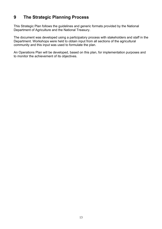## **9 The Strategic Planning Process**

This Strategic Plan follows the guidelines and generic formats provided by the National Department of Agriculture and the National Treasury.

The document was developed using a participatory process with stakeholders and staff in the Department. Workshops were held to obtain input from all sections of the agricultural community and this input was used to formulate the plan.

An Operations Plan will be developed, based on this plan, for implementation purposes and to monitor the achievement of its objectives.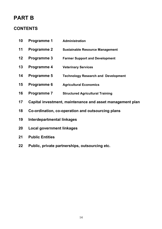## **PART B**

## **CONTENTS**

- **10 Programme 1 Administration**
- **11 Programme 2 Sustainable Resource Management**
- **12 Programme 3 Farmer Support and Development**
- **13 Programme 4 Veterinary Services**
- **14 Programme 5 Technology Research and Development**
- **15 Programme 6 Agricultural Economics**
- **16 Programme 7 Structured Agricultural Training**
- **17 Capital investment, maintenance and asset management plan**
- **18 Co-ordination, co-operation and outsourcing plans**
- **19 Interdepartmental linkages**
- **20 Local government linkages**
- **21 Public Entities**
- **22 Public, private partnerships, outsourcing etc.**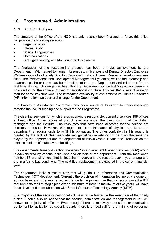## **10. Programme 1: Administration**

#### **10.1 Situation Analysis**

The structure of the Office of the HOD has only recently been finalized. In future this office will provide the following services:

- Legal Services
- Internal Audit
- Special Programmes
- Communications
- Strategic Planning and Monitoring and Evaluation

The finalization of the restructuring process has been a major achievement by the Department. With regard to Human Resources, critical posts of Deputy Director: Employee Wellness as well as Deputy Director: Organizational and Human Resource Development was filled. The Performance and Development Management System as well as the Internship and Learnerships Programme has been implemented in the Department and rolled out for the first time. A major challenge has been that the Department for the last 5 years not been in a position to fund the entire approved organizational structure. This resulted in use of skeleton staff for some key functions. The immediate availability of comprehensive Human Resource (HR) information has been a challenge for the Department.

The Employee Assistance Programme has been launched; however the main challenge remains the lack of funding and support for the Programme.

The cleaning services for which the component is responsible, currently services 199 offices at head office. Other offices at district level are under the direct control of the district managers and the institute. The resources that have been allocated for the service are currently adequate. However, with regard to the maintenance of physical structures, the department is lacking funds to fulfill this obligation. The other confusion in this regard is created by the lack of clear mandate and guidelines in relation to the roles that must be played by the department and the department of Public Works, Roads and Transport as the legal custodians of state owned buildings.

The departmental transport section manages 179 Government Owned Vehicles (GOV) which is administered by various institutions and districts of the department. From the mentioned number, 86 are fairly new, that is, less than 1 year, and the rest are over 1 year of age and are in a fair to bad conditions. The next fleet replacement is expected in the current financial year.

The department lacks a master plan that will guide it in Information and Communication Technology (ICT) development. Currently the provision of information technology is done on ad hoc basis and whenever a request is made. A proper plan that will encompass the ICT requirements to fit strategic plan over a minimum of three to maximum of five years, will have to be developed in collaboration with State Information Technology Agency (SITA).

The majority of the security personnel still need to be trained in the execution of their daily duties. It could also be added that the security administration and management is not well known to majority of officers. Even though there is relatively adequate communication equipment for utilization by security guards, there is a need still for the training of personnel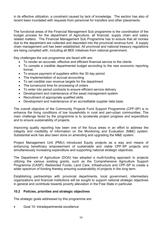in its effective utilization, a constraint caused by lack of knowledge. The section has also of recent been inundated with requests from personnel for transfers and other placements.

The functional areas of the Financial Management Sub programme is the coordination of the budget process for the department of Agriculture, all financial, supply chain and salary related matters. The Financial Management Sub Programme has to ensure that all monies due to the department are collected and deposited into the provincial revenue fund. A supply chain management unit has been established. All provincial and national treasury regulations are being complied with, including all BEE initiatives from national government.

Key challenges the sub programme are faced with are:

- To render an accurate, effective and efficient financial service to the clients
- To compile a credible departmental budget according to the new economic reporting format.
- To ensure payment of suppliers within the 30 day period
- The implementation of accrual accounting
- To set credible own revenue targets for the department
- The turnaround time for processing of orders
- To enter into period contracts to ensure efficient service delivery
- Development and maintenance of the asset management system
- Recruitment of appropriate qualified skills
- Development and maintenance of an accreditable supplier data base.

The overall objective of the Community Projects Fund Support Programme (CPF-SP) is to enhance the living conditions of low households in rural and peri-urban communities. The main challenge faced by the programme is to accelerate project progress and expenditure and to ensure sustainability of projects.

Improving quality reporting has been one of the focus areas in an effort to address the integrity and credibility of information on the Monitoring and Evaluation (M&E) system. Substantial work has also been done on amending and upgrading the M&E system.

Project Management Unit (PMU) introduced Equity projects as a way and means of enhancing beneficiary empowerment of sustainable and viable CPF-SP projects and simultaneously increasing expenditure and supporting national strategic objectives.

The Department of Agriculture (DOA) has adopted a multi-funding approach to projects utilizing the various existing grants, such as the Comprehensive Agriculture Support Programme (CASP); Redirected Funds; Land Care; Infrastructure and CPF-SP to create a wider spectrum of funding thereby ensuring sustainability of projects in the long term.

Establishing partnerships with provincial departments, local government, intermediary organizations and financial institutions will be sought to support national strategic objectives in general and contribute towards poverty alleviation in the Free State in particular.

#### **10.2 Policies, priorities and strategic objectives**

The strategic goals addressed by this programme are:

• Goal 10: Intradepartmental excellence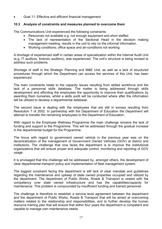• Goal 11: Effective and efficient financial management

#### **10.3 Analysis of constraints and measures planned to overcome them**

The Communications Unit experienced the following constraints:

- Resources not available e.g. not enough equipment and short staffed
- The lack of representation of the Sectional Head in the decision making management meeting, results in the unit to rely on the informal information.
- Working conditions; office space and air-conditions not working

A shortage of experienced staff in certain areas of specialization within the Internal Audit Unit (e.g. IT auditors, forensic auditors), was experienced. The unit's structure is being revised to address such problems.

Shortage of staff in the Strategic Planning and M&E Unit, as well as a lack of structured procedures through which the Department can access the services of this Unit, has been experienced.

The main constraints relate to the capacity issues resulting from skilled workforce and the lack of a personnel skills database. The matter is being addressed through skills development and affording the employees the opportunity to improve their qualifications by awarding them bursaries, whilst a skills audit will be conducted where after the information will be utilized to develop a departmental database.

The second issue is dealing with the employees that are still in excess resulting from Resolution 7 of 2002. In partnership with the Department of Education the Department will attempt to transfer the remaining employees to the Department of Education.

With regard to the Employee Wellness Programme the main challenge remains the lack of funding and support to the Programme. This will be addressed through the gradual increase in the departmental budget for the Programme.

The focus with regard to government owned vehicle in the previous year was on the decentralization of the management of Government Owned Vehicles (GOV) at district and institutions. The challenge that now faces the department is to improve the institutional organizations that will ensure proper and adequate control, monitoring and reporting of GOV usage.

It is envisaged that this challenge will be addressed by, amongst others, the development of clear departmental transport policy and implementation of fleet management system.

The biggest constraint facing this department is still lack of clear mandate and guidelines regarding the maintenance and upkeep of state owned properties occupied and utilized by the department. The department of Public Works, Roads & Transport is vested with the competency over state owned infrastructure and has the capabilities/capacity for maintenance. This problem is compounded by insufficient funding and trained personnel.

The challenge is therefore to establish a service level agreement between the department and the department of Public Works, Roads & Transport that will be aimed at overcoming matters related to the relationship and responsibilities, and to further develop the human resource training plan that will ensure that within four years the department is competent and capable to manage own maintenance needs.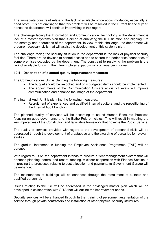The immediate constraint relate to the lack of available office accommodation, especially at head office. It is not envisaged that this problem will be resolved in the current financial year; hence the department will continue improvising in this regard.

The challenge facing the Information and Communication Technology in the department is lack of a master systems plan that is aimed at analyzing the ICT situation and aligning it to the strategy and operations of the department. In view of this challenge, the department will procure necessary skills that will assist the development of this systems plan.

The challenge facing the security situation in the department is the lack of physical security facilities. There are no devices to control access and to secure the peripheries/boundaries of some premises occupied by the department. The constraint to resolving the problem is the lack of available funds. In the interim, physical patrols will continue being done.

#### **10.4 Description of planned quality improvement measures**

The Communications Unit is planning the following measures:

- The budget should be re-looked and only budgeted items should be implemented
- The appointments of the Communication Officers at district levels will improve communication and enhance the image of the department.

The internal Audit Unit is planning the following measures:

• Recruitment of experienced and qualified internal auditors; and the repositioning of the Internal Audit Function.

The planned quality of services will be according to sound Human Resource Practices focusing on good governance and the Batho Pele principles. This will result in meeting the key imperatives of the Constitution and legislative framework that governs the Public Service.

The quality of services provided with regard to the development of personnel skills will be addressed through the development of a database and the awarding of bursaries for relevant studies.

The gradual increment in funding the Employee Assistance Programme (EAP) will be pursued.

With regard to GOV, the department intends to procure a fleet management system that will enhance planning, control and record keeping. A closer cooperation with Finance Section in improving the processes relating to cost allocation and payments to Government Garage will be enhanced.

The maintenance of buildings will be enhanced through the recruitment of suitable and qualified personnel.

Issues relating to the ICT will be addressed in the envisaged master plan which will be developed in collaboration with SITA that will outline the improvement needs.

Security services will be enhanced through further training of personnel, augmentation of the service through private contractors and installation of other physical security structures.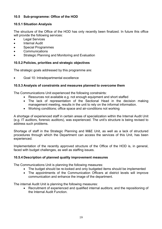#### **10.5 Sub-programme: Office of the HOD**

#### **10.5.1 Situation Analysis**

The structure of the Office of the HOD has only recently been finalized. In future this office will provide the following services:

- **Legal Services**
- Internal Audit
- Special Programmes
- **Communications**
- Strategic Planning and Monitoring and Evaluation

#### **10.5.2 Policies, priorities and strategic objectives**

The strategic goals addressed by this programme are:

• Goal 10: Intradepartmental excellence

#### **10.5.3 Analysis of constraints and measures planned to overcome them**

The Communications Unit experienced the following constraints:

- Resources not available e.g. not enough equipment and short staffed
- The lack of representation of the Sectional Head in the decision making management meeting, results in the unit to rely on the informal information.
- Working conditions; office space and air-conditions not working

A shortage of experienced staff in certain areas of specialization within the Internal Audit Unit (e.g. IT auditors, forensic auditors), was experienced. The unit's structure is being revised to address such problems.

Shortage of staff in the Strategic Planning and M&E Unit, as well as a lack of structured procedures through which the Department can access the services of this Unit, has been experienced.

Implementation of the recently approved structure of the Office of the HOD is, in general, faced with budget challenges, as well as staffing issues.

#### **10.5.4 Description of planned quality improvement measures**

The Communications Unit is planning the following measures:

- The budget should be re-looked and only budgeted items should be implemented
- The appointments of the Communication Officers at district levels will improve communication and enhance the image of the department.

The internal Audit Unit is planning the following measures:

• Recruitment of experienced and qualified internal auditors; and the repositioning of the Internal Audit Function.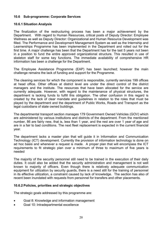#### **10.6 Sub-programme: Corporate Services**

#### **10.6.1 Situation Analysis**

The finalization of the restructuring process has been a major achievement by the Department. With regard to Human Resources, critical posts of Deputy Director: Employee Wellness as well as Deputy Director: Organizational and Human Resource Development was filled. The Performance and Development Management System as well as the Internship and Learnerships Programme has been implemented in the Department and rolled out for the first time. A major challenge has been that the Department has for the last 5 years not been in a position to fund the entire approved organizational structure. This resulted in use of skeleton staff for some key functions. The immediate availability of comprehensive HR information has been a challenge for the Department.

The Employee Assistance Programme (EAP) has been launched; however the main challenge remains the lack of funding and support for the Programme.

The cleaning services for which the component is responsible, currently services 199 offices at head office. Other offices at district level are under the direct control of the district managers and the institute. The resources that have been allocated for the service are currently adequate. However, with regard to the maintenance of physical structures, the department is lacking funds to fulfill this obligation. The other confusion in this regard is created by the lack of clear mandate and guidelines in relation to the roles that must be played by the department and the department of Public Works, Roads and Transport as the legal custodians of state owned buildings.

The departmental transport section manages 179 Government Owned Vehicles (GOV) which are administered by various institutions and districts of the department. From the mentioned number, 86 are fairly new, that is, less than 1 year, and the rest are over 1 year of age and are in a fair to bad conditions. The next fleet replacement is expected in the current financial year.

The department lacks a master plan that will guide it in Information and Communication Technology (ICT) development. Currently the provision of information technology is done on ad hoc basis and whenever a request is made. A proper plan that will encompass the ICT requirements to fit strategic plan over a minimum of three to maximum of five years is needed

The majority of the security personnel still need to be trained in the execution of their daily duties. It could also be added that the security administration and management is not well known to majority of officers. Even though there is relatively adequate communication equipment for utilization by security guards, there is a need still for the training of personnel in its effective utilization, a constraint caused by lack of knowledge. The section has also of recent been inundated with requests from personnel for transfers and other placements.

#### **10.6.2 Policies, priorities and strategic objectives**

- Goal 8: Knowledge and information management
- Goal 10: Intradepartmental excellence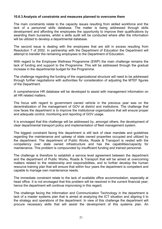#### **10.6.3 Analysis of constraints and measures planned to overcome them**

The main constraints relate to the capacity issues resulting from skilled workforce and the lack of a personnel skills database. The matter is being addressed through skills development and affording the employees the opportunity to improve their qualifications by awarding them bursaries, whilst a skills audit will be conducted where after the information will be utilized to develop a departmental database.

The second issue is dealing with the employees that are still in excess resulting from Resolution 7 of 2002. In partnership with the Department of Education the Department will attempt to transfer the remaining employees to the Department of Education.

With regard to the Employee Wellness Programme (EWP) the main challenge remains the lack of funding and support to the Programme. This will be addressed through the gradual increase in the departmental budget for the Programme.

The challenge regarding the funding of the organizational structure will need to be addressed through further negotiations with authorities for consideration of adjusting the MTEF figures of the Department.

A comprehensive HR database will be developed to assist with management information on all HR related matters.

The focus with regard to government owned vehicle in the previous year was on the decentralization of the management of GOV at district and institutions. The challenge that now faces the department is to improve the institutional organizations that will ensure proper and adequate control, monitoring and reporting of GOV usage.

It is envisaged that this challenge will be addressed by, amongst others, the development of clear departmental transport policy and implementation of fleet management system.

The biggest constraint facing this department is still lack of clear mandate and guidelines regarding the maintenance and upkeep of state owned properties occupied and utilized by the department. The department of Public Works, Roads & Transport is vested with the competency over state owned infrastructure and has the capabilities/capacity for maintenance. This problem is compounded by insufficient funding and trained personnel.

The challenge is therefore to establish a service level agreement between the department and the department of Public Works, Roads & Transport that will be aimed at overcoming matters related to the relationship and responsibilities, and to further develop the human resource training plan that will ensure that within four years the department is competent and capable to manage own maintenance needs.

The immediate constraint relate to the lack of available office accommodation, especially at head office. It is not envisaged that this problem will be resolved in the current financial year; hence the department will continue improvising in this regard.

The challenge facing the Information and Communication Technology in the department is lack of a master systems plan that is aimed at analyzing the ICT situation and aligning it to the strategy and operations of the department. In view of this challenge the department will procure necessary skills that will assist the development of this systems plan. An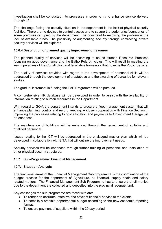investigation shall be conducted into processes in order to try to enhance service delivery through ICT.

The challenge facing the security situation in the department is the lack of physical security facilities. There are no devices to control access and to secure the peripheries/boundaries of some premises occupied by the department. The constraint to resolving the problem is the lack of available funds. The possibility of augmenting security through contracting private security services will be explored.

#### **10.6.4 Description of planned quality improvement measures**

The planned quality of services will be according to sound Human Resource Practices focusing on good governance and the Batho Pele principles. This will result in meeting the key imperatives of the Constitution and legislative framework that governs the Public Service.

The quality of services provided with regard to the development of personnel skills will be addressed through the development of a database and the awarding of bursaries for relevant studies.

The gradual increment in funding the EAP Programme will be pursued.

A comprehensive HR database will be developed in order to assist with the availability of information relating to human resources in the Department.

With regard to GOV, the department intends to procure a fleet management system that will enhance planning, control and record keeping. A closer cooperation with Finance Section in improving the processes relating to cost allocation and payments to Government Garage will be enhanced.

The maintenance of buildings will be enhanced through the recruitment of suitable and qualified personnel.

Issues relating to the ICT will be addressed in the envisaged master plan which will be developed in collaboration with SITA that will outline the improvement needs.

Security services will be enhanced through further training of personnel and installation of other physical security structures.

#### **10.7 Sub-Programme: Financial Management**

#### **10.7.1 Situation Analysis**

The functional areas of the Financial Management Sub programme is the coordination of the budget process for the department of Agriculture, all financial, supply chain and salary related matters. The Financial Management Sub Programme has to ensure that all monies due to the department are collected and deposited into the provincial revenue fund.

Key challenges the sub programme are faced with are:

- To render an accurate, effective and efficient financial service to the clients
- To compile a credible departmental budget according to the new economic reporting format.
- To ensure payment of suppliers within the 30 day period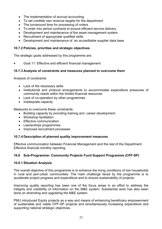- The implementation of accrual accounting
- To set credible own revenue targets for the department
- The turnaround time for processing of orders
- To enter into period contracts to ensure efficient service delivery
- Development and maintenance of the asset management system
- Recruitment of appropriate qualified skills
- Development and maintenance of an accreditable supplier data base

#### **10.7.2 Policies, priorities and strategic objectives**

The strategic goals addressed by this programme are:

• Goal 11: Effective and efficient financial management

#### **10.7.3 Analysis of constraints and measures planned to overcome them**

Analysis of constraints

- Lack of the necessary skills
- Institutional and protocol arrangements to accommodate expenditure pressures of community needs within the limited financial resources
- Lack of co-operation by other programmes
- Inadequate capacity

Measures to overcome these constraints:

- Building capacity by providing training and career development
- Workshop facilitation
- Effective communication
- Leanerships programmes
- Improved recruitment processes

#### **10.7.4 Description of planned quality improvement measures**

Effective communication between Financial Management and the rest of the Department. Effective financial monthly reporting.

#### **10.8 Sub-Programme: Community Projects Fund Support Programme (CPF-SP)**

#### **10.8.1 Situation Analysis**

The overall objective of this programme is to enhance the living conditions of low households in rural and peri-urban communities. The main challenge faced by the programme is to accelerate project progress and expenditure and to ensure sustainability of projects.

Improving quality reporting has been one of the focus areas in an effort to address the integrity and credibility of information on the M&E system. Substantial work has also been done on amending and upgrading the M&E system.

PMU introduced Equity projects as a way and means of enhancing beneficiary empowerment of sustainable and viable CPF-SP projects and simultaneously increasing expenditure and supporting national strategic objectives.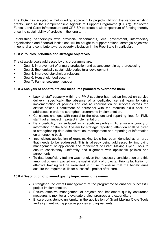The DOA has adopted a multi-funding approach to projects utilizing the various existing grants, such as the Comprehensive Agriculture Support Programme (CASP); Redirected Funds; Land Care; Infrastructure and CPF-SP to create a wider spectrum of funding thereby ensuring sustainability of projects in the long term.

Establishing partnerships with provincial departments, local government, intermediary organizations and financial institutions will be sought to support national strategic objectives in general and contribute towards poverty alleviation in the Free State in particular.

#### **10.8.2 Policies, priorities and strategic objectives**

The strategic goals addressed by this programme are:

- Goal 1: Improvement of primary production and advancement in agro-processing
- Goal 2: Economically sustainable agricultural development
- Goal 4: Improved stakeholder relations
- Goal 6: Household food security
- Goal 7: Farmer settlement support

#### **10.8.3 Analysis of constraints and measures planned to overcome them**

- Lack of staff capacity within the PMU structure has had an impact on service delivery, specifically the absence of a dedicated central team to drive implementation of policies and ensure coordination of services across the district offices. Recruitment of personnel with the requisite skills shall be addressed in order to strengthen programme implementation.
- Consistent changes with regard to the structure and reporting lines for PMU staff had an impact in project implementation.
- Data credibility has surfaced as a repetitive problem. To ensure accuracy of information on the M&E System for strategic reporting, attention shall be given to strengthening data administration, management and reporting of information on an ongoing basis.
- Inconsistent application of grant making tools has been identified as an area that needs to be addressed. This is already being addressed by improving management of application and refinement of Grant Making Cycle Tools to ensure consistency, uniformity and alignment with applicable policies and agreements.
- To date beneficiary training was not given the necessary consideration and this amongst others impacted on the sustainability of projects. Priority facilitation of effective training will be exercised in future to ensure that the beneficiaries acquire the required skills for successful project after-care.

#### **10.8.4 Description of planned quality improvement measures**

- Strengthen the overall management of the programme to enhance successful project implementation.
- Ensure effective management of projects and implement quality assurance measures to monitor and evaluate project progress and expenditure.
- Ensure consistency, uniformity in the application of Grant Making Cycle Tools and alignment with applicable policies and agreements.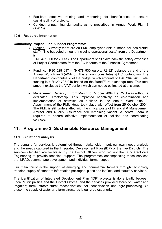- Facilitate effective training and mentoring for beneficiaries to ensure sustainability of projects.
- Conduct annual financial audits as is prescribed in Annual Work Plan 3 (AWP3).

#### **10.9 Resource Information**

#### **Community Project Fund Support Programme:**

• Staffing: Currently there are 30 PMU employees (this number includes district staff). The budgeted amount (including operational costs) from the Department is

± R6 471 000 for 2005/6. The Department shall claim back the salary expenses of Project Coordinators from the EC in terms of the Financial Agreement.

- Funding: R80 528 697 (9 678 930 euro x R8.32) balance by end of the Annual Work Plan 3 (AWP 3). This amount constitutes ⅔ EC contribution. The Department contributes ⅓ of the budget which amounts to R40 264 348. Total funding is  $\pm$  R120 793 045 based on the Rand/Euro exchange rate. This total amount excludes the VAT portion which can not be estimated at this time.
- Management Capacity: From March to October 2004 the PMU was without a dedicated Directorship. This impacted negatively on co-ordination and implementation of activities as outlined in the Annual Work plan 3. Appointment of the PMU Head took place with effect from 25 October 2004. The PMU is still understaffed with the critical posts of Financial & Management Advisor and Quality Assurance still remaining vacant. A central team is required to ensure effective implementation of policies and coordinating services.

### **11. Programme 2: Sustainable Resource Management**

#### **11.1 Situational analysis**

The demand for services is determined through stakeholder input, our own needs analysis and the needs captured in the Integrated Development Plan (IDP) of the five Districts. The services identified are facilitated by the District Offices, who request the Sub-Directorate Engineering to provide technical support. The programmes encompassing these services are: LRAD; commonage development and individual farmer support.

Our main thrust is the support of emerging and commercial farmers through technology transfer, supply of standard information packages, plans and leaflets, and statutory services.

The identification of Integrated Development Plan (IDP) projects is done jointly between Local Municipalities and the District Offices, and the services provided focus on: water and irrigation; farm infrastructure; mechanisation; soil conservation and agro-processing. Of these, the supply of water and farm structures is our greatest priority.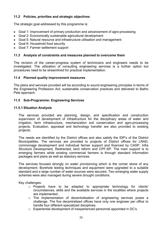#### **11.2 Policies, priorities and strategic objectives**

The strategic goal addressed by this programme is:

- Goal 1: Improvement of primary production and advancement of agro-processing
- Goal 2: Economically sustainable agricultural development
- Goal 5: Natural resource and infrastructure utilisation and management
- Goal 6: Household food security
- Goal 7: Farmer settlement support

#### **11.3 Analysis of constraints and measures planned to overcome them**

The revision of the career-progress system of technicians and engineers needs to be investigated. The utilization of consulting engineering services is a further option but procedures need to be streamlined for practical implementation.

#### **11.4 Planned quality improvement measures**

The plans and services provided will be according to sound engineering principles in terms of the Engineering Profession Act; sustainable conservation practices and delivered to Batho Pele approach.

#### **11.5 Sub-Programme: Engineering Services**

#### **11.5.1 Situation Analysis**

The services provided are planning, design, and specification and construction supervision of development of infrastructure for the disciplinary areas of water and irrigation, farm infrastructure, mechanization soil conservation and agro-processing projects. Evaluation, appraisal and technology transfer are also provided to existing projects.

The needs are identified by the District offices and also satisfy the IDP's of the District Municipalities. The services are provided to projects of District offices for LRAD, commonage development and individual farmer support and financed by CASP, Infra Structure Development, Redirected, land reform and CPF-SP. The main support is to emerging farmers while existing commercial farmers is through standard information packages and plans as well as statutory services.

The services focused strongly on water provisioning which is the corner stone of any development. Borehole testing techniques and equipment were upgraded to a suitable standard and a large number of water sources were secured. Two emerging water supply schemes were also managed during severe drought conditions.

Key challenges:

- o Projects have to be adapted to appropriate technology for clients' circumstances, skills and the available services in the localities where projects are implemented.
- o The implementation of decentralisation of engineering services poses a challenge. The five decentralised offices have only one engineer per office to handle four different specialized disciplines.
- $\circ$  Experiential development of inexperienced personnel appointed in DC's.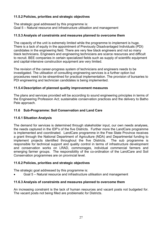#### **11.5.2 Policies, priorities and strategic objectives**

The strategic goal addressed by this programme is: Goal 5 – Natural resource and infrastructure utilisation and management

#### **11.5.3 Analysis of constraints and measures planned to overcome them**

The capacity of the unit is extremely limited while the programme to implement is huge. There is a lack of equity in the appointment of Previously Disadvantaged Individuals (PDI) candidates in the engineering field. There are very few black engineers and not so many black technicians. Engineers and engineering technicians are scarce resources and difficult to recruit. BEE companies in certain specialized fields such as supply of scientific equipment and capital-intensive construction equipment are very limited.

The revision of the career-progress system of technicians and engineers needs to be investigated. The utilisation of consulting engineering services is a further option but procedures need to be streamlined for practical implementation. The provision of bursaries to PDI engineering and technician candidates is being implemented.

#### **11.5.4 Description of planned quality improvement measures**

The plans and services provided will be according to sound engineering principles in terms of the Engineering Profession Act; sustainable conservation practices and the delivery to Batho Pele approach.

#### **11.6 Sub-Programme: Soil Conservation and Land Care**

#### **11.6.1 Situation Analysis**

The demand for services is determined through stakeholder input, our own needs analyses, the needs captured in the IDP's of the five Districts. Further more the LandCare programme is implemented and coordinated. LandCare programme in the Free State Province receives a grant through the National Department of Agriculture (NDA) and Departmental funding to implement projects identified throughout the five Districts. The sub programme is responsible for technical support and quality control in terms of infrastructure development and conservation works on LRAD, commonages, individual commercial farmers and emerging farmer groups. The responsibility of the co-ordination of the LandCare and Soil Conservation programmes are on provincial level.

#### **11.6.2 Policies, priorities and strategic objectives**

The strategic goal addressed by this programme is:

• Goal 5 – Natural resource and infrastructure utilisation and management

#### **11.6.3 Analysis of constraints and measures planned to overcome them**

An increasing constraint is the lack of human resources and vacant posts not budgeted for. The vacant posts not being filled are problematic for Districts.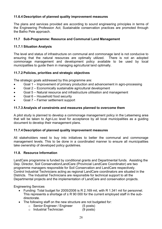#### **11.6.4 Description of planned quality improvement measures**

The plans and services provided are according to sound engineering principles in terms of the Engineering Profession Act; Sustainable conservation practices are promoted through the Batho Pele approach.

#### **11.7 Sub-Programme: Resource and Communal Land Management**

#### **11.7.1 Situation Analysis**

The level and status of infrastructure on communal and commonage land is not conducive to ensuring that the natural resources are optimally utilized. There is not an adopted commonage management and development policy available to be used by local municipalities to guide them in managing agricultural land optimally.

#### **11.7.2 Policies, priorities and strategic objectives**

The strategic goals addressed by this programme are:

- Goal 1 Improvement of primary production and advancement in agro-processing
- Goal 2 Economically sustainable agricultural development
- Goal 5 Natural resource and infrastructure utilisation and management
- Goal 6 Household food security
- Goal 7 Farmer settlement support

#### **11.7.3 Analysis of constraints and measures planned to overcome them**

A pilot study is planned to develop a commonage management policy in the Letsemeng area that will be taken to Agri-Loc level for acceptance by all local municipalities as a guiding document to develop their management plans.

#### **11.7.4 Description of planned quality improvement measures**

All stakeholders need to buy into initiatives to better the communal and commonage management levels. This to be done in a coordinated manner to ensure all municipalities take ownership of developed policy guidelines.

#### **11.8. Resource Information**

LandCare programme is funded by conditional grants and Departmental funds. Assisting the Dep. Director, Soil Conservation/LandCare (Provincial LandCare Coordinator) are two programme managers responsible for Soil Conservation and LandCare respectively. Control Industrial Technicians acting as regional LandCare coordinators are situated in the Districts. The Industrial Technicians are responsible for technical support to all the Departmental projects and the implementation of LandCare and conservation projects.

Engineering Services

- Funding: Total budget for 2005/2006 is R 2,169 mil, with R 1.341 mil for personnel. This represents a shortage of  $\pm$  R 90 000 for the current employed staff in the subdirectorate.
- The following staff on the new structure are not budgeted for:
	- o Senior Engineer / Engineer (5 posts)
	- o Industrial Technician (9 posts)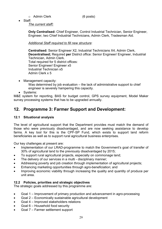- o Admin Clerk (6 posts)
- Staff:

*The current staff:*

**Only Centralised:** Chief Engineer, Control Industrial Technician, Senior Engineer, Engineer, two Chief Industrial Technicians, Admin Clerk, Tradesman Aid.

*Additional Staff required to fill new structure*:

**Centralised:** Senior Engineer X2, Industrial Technicians X4, Admin Clerk, **Decentralised;** Required **per** District office: Senior Engineer/ Engineer, Industrial Technician, Admin Clerk. Total required for 5 district offices: Senior Engineer/ Engineer x5 Industrial Technician x5 Admin Clerk x 5

Management capacity:

Was determined by job evaluation – the lack of administrative support to chief engineer is severely hampering this capacity.

• Systems:

M&E system for reporting, BAS for budget control, GPS survey equipment, Model Maker survey processing systems that has to be upgraded annually.

## **12. Programme 3: Farmer Support and Development:**

#### **12.1 Situational analysis**

The level of agricultural support that the Department provides must match the demand of those who were previously disadvantaged, and are now seeking assistance to develop farms. A key tool for this is the CPF-SP Fund, which exists to support land reform beneficiaries as well as to support rural agricultural business enterprises.

Our key challenges at present are:

- Implementation of our LRAD-programme to match the Government's goal of transfer of 30% of agricultural land to the previously disadvantaged by 2015;
- To support rural agricultural projects, especially on commonage land;
- The delivery of our services in a multi disciplinary manner;
- Addressing poverty and job creation through implementation of agricultural projects;
- Enhancing marketing opportunities through agro-beneficiation; and
- Improving economic viability through increasing the quality and quantity of produce per unit area.

#### **12.2 Policies, priorities and strategic objectives**

- Goal 1 Improvement of primary production and advancement in agro-processing
- Goal 2 Economically sustainable agricultural development
- Goal 4 Improved stakeholders relations
- Goal 6 Household food security
- Goal 7 Farmer settlement support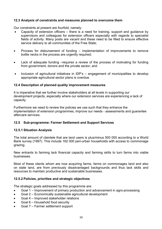#### **12.3 Analysis of constraints and measures planned to overcome them**

Our constraints at present are fourfold, namely:

- Capacity of extension officers there is a need for training, support and guidance by supervisors and colleagues for extension officers especially with regards to specialist fields of activity. Many posts are vacant and these need to be filled to ensure effective service delivery to all communities of the Free State;
- Process for disbursement of funding implementation of improvements to remove bottle necks in the process are urgently required;
- Lack of adequate funding –requires a review of the process of motivating for funding from government, donors and the private sector; and
- Inclusion of agricultural initiatives in IDP's engagement of municipalities to develop appropriate agricultural sector plans is overdue.

#### **12.4 Description of planned quality improvement measures**

It is imperative that we further involve stakeholders at all levels in supporting our development projects, especially where our extension services are experiencing a lack of capacity.

Furthermore we need to review the policies we use such that they enhance the implementation of extension programmes, improve our needs - assessments and guarantee aftercare services.

#### **12.5 Sub-programme: Farmer Settlement and Support Services**

#### **12.5.1 Situation Analysis**

The total amount of clientele that are land users is plus/minus 500 000 according to a World Bank survey (1997). This include 162 000 peri-urban households with access to commonage grazing.

New entrants to farming lack financial capacity and farming skills to turn farms into viable businesses.

Most of these clients whom are now acquiring farms, farms on commonages land and also on state land, are from previously disadvantaged backgrounds and thus lack skills and resources to maintain productive and sustainable businesses.

#### **12.5.2 Policies, priorities and strategic objectives**

- Goal 1 Improvement of primary production and advancement in agro-processing
- Goal 2 Economically sustainable agricultural development
- Goal 4 Improved stakeholder relations
- Goal 6 Household food security
- Goal 7 Farmer settlement support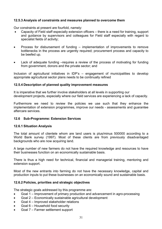#### **12.5.3 Analysis of constraints and measures planned to overcome them**

Our constraints at present are fourfold, namely:

- Capacity of Field staff especially extension officers there is a need for training, support and guidance by supervisors and colleagues for Field staff especially with regard to specialist fields of activity;
- Process for disbursement of funding implementation of improvements to remove bottlenecks in the process are urgently required; procurement process and capacity to be beefed up.
- Lack of adequate funding –requires a review of the process of motivating for funding from government, donors and the private sector; and

Inclusion of agricultural initiatives in IDP's – engagement of municipalities to develop appropriate agricultural sector plans needs to be continually refined

#### **12.5.4 Description of planned quality improvement measures**

It is imperative that we further involve stakeholders at all levels in supporting our development projects, especially where our field services are experiencing a lack of capacity.

Furthermore we need to review the policies we use such that they enhance the implementation of extension programmes, improve our needs - assessments and guarantee aftercare services.

#### **12.6 Sub-Programme: Extension Services**

#### **12.6.1 Situation Analysis**

The total amount of clientele whom are land users is plus/minus 500000 according to a World Bank survey (1997). Most of these clients are from previously disadvantaged backgrounds who are now acquiring land.

A large number of new farmers do not have the required knowledge and resources to have their businesses function on an economically sustainable basis.

There is thus a high need for technical, financial and managerial training, mentoring and extension support.

Most of the new entrants into farming do not have the necessary knowledge, capital and production inputs to put these businesses on an economically sound and sustainable basis.

#### **12.6.2 Policies, priorities and strategic objectives**

- Goal 1 Improvement of primary production and advancement in agro-processing
- Goal 2 Economically sustainable agricultural development
- Goal 4 Improved stakeholder relations
- Goal 6 Household food security
- Goal 7 Farmer settlement support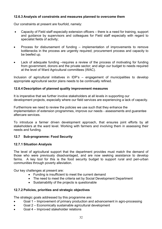#### **12.6.3 Analysis of constraints and measures planned to overcome them**

Our constraints at present are fourfold, namely:

- Capacity of Field staff especially extension officers there is a need for training, support and guidance by supervisors and colleagues for Field staff especially with regard to specialist fields of activity;
- Process for disbursement of funding implementation of improvements to remove bottlenecks in the process are urgently required; procurement process and capacity to be beefed up.
- Lack of adequate funding –requires a review of the process of motivating for funding from government, donors and the private sector; and align our budget to needs required at the level of Ward Agricultural committees (WAC).

Inclusion of agricultural initiatives in IDP's – engagement of municipalities to develop appropriate agricultural sector plans needs to be continually refined.

#### **12.6.4 Description of planned quality improvement measures**

It is imperative that we further involve stakeholders at all levels in supporting our development projects, especially where our field services are experiencing a lack of capacity.

Furthermore we need to review the policies we use such that they enhance the implementation of extension programmes, improve our needs - assessments and guarantee aftercare services.

To introduce a farmer driven development approach, that ensures joint efforts by all stakeholders at the ward level. Working with farmers and involving them in assessing their needs and funding.

#### **12.7 Sub-programme: Food Security**

#### **12.7.1 Situation Analysis**

The level of agricultural support that the department provides must match the demand of those who were previously disadvantaged, and are now seeking assistance to develop farms. A key tool for this is the food security budget to support rural and peri-urban communities through poverty alleviation.

Our key challenges at present are:

- Funding is insufficient to meet the current demand
- The need to meet the criteria set by Social Development Department
- Sustainability of the projects is questionable

#### **12.7.2 Policies, priorities and strategic objectives**

- Goal 1 Improvement of primary production and advancement in agro-processing
- Goal 2 Economically sustainable agricultural development
- Goal 4 Improved stakeholder relations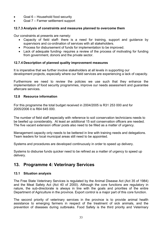- Goal 6 Household food security
- Goal 7 Farmer settlement support

#### **12.7.3 Analysis of constraints and measures planned to overcome them**

Our constraints at presents are namely:

- Capacity of field staff- there is a need for training, support and guidance by supervisors and co-ordination of services with all stakeholders.
- Process for disbursement of funds for implementation to be improved.
- Lack of adequate funding- requires a review of the process of motivating for funding from government, donors and the private sector.

#### **12.7.4 Description of planned quality improvement measures**

It is imperative that we further involve stakeholders at all levels in supporting our development projects, especially where our field services are experiencing a lack of capacity.

Furthermore we need to review the policies we use such that they enhance the implementation of food security programmes, improve our needs assessment and guarantee aftercare services.

#### **12.8 Resource information**

For this programme the total budget received in 2004/2005 is R31 253 000 and for 2005/2006 it is R64 645 000.

The number of field staff especially with reference to soil conservation technicians needs to be beefed up considerably. At least an additional 15 soil conservation officers are needed. The five vacant extension officer posts also need to be filled as a matter of urgency.

Management capacity only needs to be bettered in line with training needs and delegations. Team leaders for local municipal areas still need to be appointed.

Systems and procedures are developed continuously in order to speed up delivery.

Systems to disburse funds quicker need to be refined as a matter of urgency to speed up delivery.

## **13. Programme 4: Veterinary Services**

#### **13.1 Situation analysis**

The Free State Veterinary Services is regulated by the Animal Disease Act (Act 35 of 1984) and the Meat Safety Act (Act 40 of 2000). Although the core functions are regulatory in nature, the sub-directorate is always in line with the goals and priorities of the entire Department of Agriculture in the province. Export control is a major part of this core function.

The second priority of veterinary services in the province is to provide animal health assistance to emerging farmers in respect of the treatment of sick animals, and the prevention of diseases during outbreaks. Food Safety is the third priority and Veterinary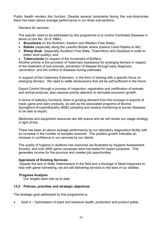Public Health renders this function. Despite several constraints facing this sub-directorate there has been above average performance in our three sub-sections.

Demand for services:

The specific need to be addressed by this programme is to control Controlled Diseases in terms of (Act No. 35 of 1984):

- **Brucellosis** (in the Northern, Eastern and Western Free State);
- **Rabies** (especially along the Lesotho Border where positive Canid Rabies is rife);
- **Sheep Scab** (especially Southern Free State, Thaba'Nchu and QwaQwa in order to better wool quality); and
- **Tuberculosis** (in respect of the movement of Buffalo).

Another priority is the provision of Veterinary Assistance for emerging farmers in respect of the treatment of sick animals, prevention of disease through early diagnosis, vaccination, and the control of diseases during outbreaks.

In support of this Veterinary Extension, in the form of training with a specific focus on emerging farmers. We need to settle stockowners that will be self-sufficient in the future.

Export Control through a process of inspection, registration and certification of animals and animal products, also requires priority attention to stimulate economic growth.

In terms of statutory functions, there is growing demand from the increase in exports of meat, game and dairy products, as well as the associated programs of Bovine Spongiform Encephalopathy (BSE) sampling and residue monitoring to survey diseases to be able to export.

Medicines and equipment resources are still scarce and we will review our usage strategy in light of this.

There has been an above average performance by our laboratory diagnostics facility with an increase in the number of samples received. This positive growth indicates an increase in confidence in our services by our clients.

The quality of hygiene in abattoirs has improved (as illustrated by Hygiene Assessment Scores), and over 4000 game carcasses were harvested for export purposes. This generates income for the province and creates job opportunities.

#### **Appraisals of Existing Services:**

 Despite the lack of State Veterinarians in the field and a shortage of Meat Inspectors to help with game harvesting, we are still delivering services to the best of our abilities.

#### **Progress Analysis**

Our targets were met up to date.

#### **13.2 Policies, priorities and strategic objectives**

The strategic goal addressed by this programme is:

• Goal 3 – Optimisation of plant and livestock health, production and product safety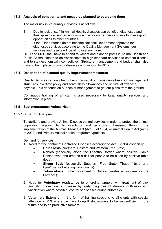#### **13.3 Analysis of constraints and measures planned to overcome them**

The major risk in Veterinary Services is as follows:

- 1) Due to lack of staff in Animal Health, diseases can be left undiagnosed and thus spread causing an economical risk for our farmers and risk to lose export opportunities to other countries.
- 2) If the 2 laboratories do not become National Department approved for diagnostic services according to the Quality Management Systems, our services and results will be of no use any more.

HOD and MEC shall have to attend to vacant and planned posts in Animal Health and Public Animal Health to deliver acceptable high standard services to combat disease and to stay economically competitive. Structure, management and budget shall also have to be in place to control diseases and support to PDI's.

#### **13.4 Description of planned quality improvement measures**

Quality Services can only be further improved if our constraints like staff; management structures, overtime policy and scare skills allowances and or rural allowances payable. This depends on our senior management to get our plans from the ground.

Continuous training of all staff is also necessary to keep quality services and information in place.

#### **13.5 Sub-programme: Animal Health**

#### **13.5.1 Situation Analysis**

To facilitate and provide Animal Disease control services in order to protect the animal population against highly infectious and economic diseases, through the implementation of the Animal Disease Act (Act 35 of 1984) or Animal Health Act (Act 7 of 2002) and Primary Animal health programme/projects

Demand for services:

- 1. Need for the control of Controlled Diseases according to Act 35/1984 especially:
	- **Brucellosis** (Northern, Eastern and Western Free State).
	- **Rabies** (especially along the Lesotho Border where positive Canid Rabies rives and creates a risk for people to be bitten by positive rabid dogs).
	- **Sheep Scab** (especially Southern Free State, Thaba 'Nchu and QwaQwa for bettering wool quality).
	- **Tuberculosis** (the movement of Buffalo creates an income for the Province).
- 2. Need for **Veterinary Assistance** to emerging farmers with treatment of sick animals, prevention of disease by early diagnosis of disease outbreaks and vaccination where possible, control of diseases during outbreaks.
- 3. **Veterinary Extension** in the form of training sessions to all clients with special attention to PDI where we have to uplift stockowners to be self-sufficient in the future and to be productive farmers.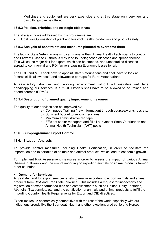Medicines and equipment are very expensive and at this stage only very few and basic things can be offered.

#### **13.5.2 Policies, priorities and strategic objectives**

The strategic goals addressed by this programme are:

• Goal 3 – Optimisation of plant and livestock health, production and product safety

#### **13.5.3 Analysis of constraints and measures planned to overcome them**

The lack of State Veterinarians who can manage their Animal Health Technicians to control and Prevent Disease Outbreaks may lead to undiagnosed diseases and spread thereof. This will cause major risk for export, which can be stopped, and uncontrolled diseases spread to commercial and PDI farmers causing Economic losses for all.

The HOD and MEC shall have to appoint State Veterinarians and shall have to look at "scares skills allowances" and allowances perhaps for Rural Veterinarians.

A satisfactory structure and working environment without administrative red tape handicapping our services, is a must. Officials shall have to be allowed to be trained and attend courses (PDMS).

#### **13.5.4 Description of planned quality improvement measures**

The quality of our services can be improved by:

- a) Continuous Training (new information) through courses/workshops etc.
- b) Sufficient budget to supply medicines
- c) Minimum administrative red tape
- d) Efficient senior managers and fill all our vacant State Veterinarian and Animal Health Technician (AHT) posts

#### **13.6 Sub-programme: Export Control**

#### **13.6.1 Situation Analysis**

To provide control measures including Health Certification, in order to facilitate the importation and exportation of animals and animal products, which lead to economic growth.

To implement Risk Assessment measures in order to assess the impact of various Animal Disease outbreaks and the risk of importing or exporting animals or animal products from/to other countries.

#### • **Demand for Services:**

A great demand for export services exists to enable exporters to export animals and animal products from RSA and Free State Province. This includes a request for inspections and registration of export farms/facilities and establishments such as Dairies, Dairy Factories, Abattoirs, Taxidermies, etc. and the certification of animals and animal products to fulfill the Importing Country Health Requirements for Export and OIE directives.

Export makes us economically competitive with the rest of the world especially with our indigenous breeds like the Boer goat, Nguni and other excellent bred cattle and Horses.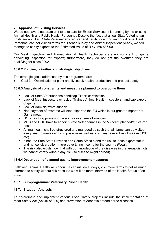# • **Appraisal of Existing Services:**

We do not have a separate unit to take care for Export Services. It is running by the existing Animal Health and Public Health Personnel. Despite the fact that all our State Veterinarian posts are not filled, State Veterinarians register and certify for export and our Animal Health Personnel can not visit all farms for Disease survey and Animal Inspections yearly, we still manage to certify exports to the Estimated Value of R 47 466 586.00

Our Meat Inspectors and Trained Animal Health Technicians are not sufficient for game harvesting inspection for exports; furthermore, they do not get the overtime they are qualifying for since 2002.

# **13.6.2 Policies, priorities and strategic objectives**

The strategic goals addressed by this programme are:

• Goal 3 – Optimisation of plant and livestock health, production and product safety

### **13.6.3 Analysis of constraints and measures planned to overcome them**

- Lack of State Veterinarians handicap Export certification.
- Lack of Meat Inspectors or lack of Trained Animal Health Inspectors handicap export of game.
- **Lack of Administrative support.**
- Non payment of overtime will stop export to the EU which is our greater Importer of Game meat.
- HOD has to approve submission for overtime allowances.
- MEC and HOD have to appoint State Veterinarians in the 5 vacant planned/structured posts.
- Animal health shall be structured and managed as such that all farms can be visited every year to make certifying possible as well as to survey relevant risk Disease (BSE etc).
- If not, the Free State Province and South Africa stand the risk to loose export status and hence job creation, more poverty, no income for the country (Wealth).
- The risk also exists now that with our knowledge of the diseases in the areas/districts, we cannot certify without any risk (so disease might spread).

### **13.6.4 Description of planned quality improvement measures**

If allowed, Animal Health will conduct a census, do surveys, visit more farms to get as much informed to certify without risk because we will be more informed of the Health Status of an area.

# **13.7 Sub-programme: Veterinary Public Health**

### **13.7.1 Situation Analysis**

To co-ordinate and implement various Food Safety projects include the implementation of Meat Safety Act (Act 40 of 200) and prevention of Zoonotic or food borne diseases.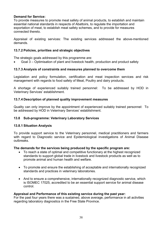#### **Demand for Service:**

To provide measures to promote meat safety of animal products, to establish and maintain essential national standards in respects of Abattoirs, to regulate the importation and exportation of meat, to establish meat safety schemes, and to provide for measures connected thereto.

Appraisal of existing services: The existing services addressed the above-mentioned demands.

#### **13.7.2 Policies, priorities and strategic objectives**

The strategic goals addressed by this programme are:

• Goal 3 – Optimisation of plant and livestock health, production and product safety

### **13.7.3 Analysis of constraints and measures planned to overcome them**

Legislation and policy formulation, certification and meat inspection services and risk management with regards to food safety of Meat, Poultry and dairy products.

A shortage of experienced suitably trained personnel: To be addressed by HOD in Veterinary Services' establishment.

#### **13.7.4 Description of planned quality improvement measures**

Quality can only improve by the appointment of experienced suitably trained personnel: To be addressed by HOD in Veterinary Services' establishment.

#### **13.8 Sub-programme: Veterinary Laboratory Services**

#### **13.8.1 Situation Analysis**

To provide support service to the Veterinary personnel, medical practitioners and farmers with regard to Diagnostic service and Epidemiological investigations of Animal Disease outbreaks.

#### **The demands for the services being produced by the specific program are:**

- To reach a state of optimal and competitive functionary at the highest recognized standards to support global trade in livestock and livestock products as well as to promote animal and human health and welfare.
- To promote and ensure the establishing of acceptable and internationally recognized standards and practices in veterinary laboratories.
- And to ensure a comprehensive, internationally recognized diagnostic service, which is ISOMEC 17025, accredited to be an essential support service for animal disease control.

#### **Appraisal and Performance of this existing service during the past year:**

For the past four years there was a sustained, above average, performance in all activities regarding laboratory diagnostics in the Free State Province.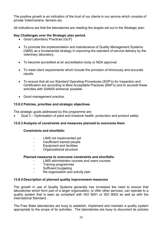The positive growth is an indication of the trust of our clients in our service which consists of private Veterinarians, farmers etc.

All indications are that the laboratories are meeting the targets set out in the Strategic plan.

# **Key Challenges over the Strategic plan period.**

- Good Laboratory Practices (GLP)
- To promote the implementation and maintenance of Quality Management Systems (QMS) as a fundamental strategy in improving the standard of service delivery by the veterinary laboratory.
- To become accredited at an accreditation body or NDA approval.
- To meet client requirements which include the provision of timorously and accurate results.
- To ensure that all our Standard Operating Procedures (SOP's) for Inspection and Certification are according to Best Acceptable Practices (BAP's) and to accredit these activities with SANAS wherever possible.
- Good management practice.

# **13.8.2 Policies, priorities and strategic objectives**

The strategic goals addressed by this programme are:

• Goal 3 – Optimisation of plant and livestock health, production and product safety

### **13.8.3 Analysis of constraints and measures planned to overcome them**

### **Constraints and shortfalls:**

- LIMS not implemented yet
- Insufficient trained people
- Equipment and facilities
- Organizational structure

#### **Planned measures to overcome constraints and shortfalls:**

- LIMS administrator courses and users courses
- Training programmes
- Sufficient budgeting
- Re-organization and activity plan

### **13.8.4 Description of planned quality improvement measures**

The growth in use of Quality Systems generally has increased the need to ensure that laboratories which form part of a larger organization, or offer other services, can operate to a quality system that is seen as compliant with ISO 9001 or ISO 9002 as well as with the International Standard.

The Free State laboratories are busy to establish, implement and maintain a quality system appropriate to the scope of its activities. The laboratories are busy to document its policies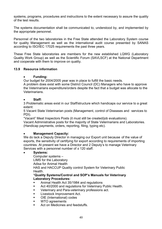systems, programs, procedures and instructions to the extent necessary to assure the quality of the test results.

The systems documentation shall be communicated to, understood by, and implemented by the appropriate personnel.

Personnel of the two laboratories in the Free State attended the Laboratory System course for quality Management as well as the international audit course presented by SANAS according to ISO/IEC 17025 requirements the past three years.

These Free State laboratories are members for the new established LQWG (Laboratory Quality Work Group) as well as the Scientific Forum (SAVLSCF) at the National Department and cooperate with them to improve on quality.

#### **13.9 Resource information**

#### • **Funding:**

Our budget for 2004/2005 year was in place to fulfill the basic needs.

A problem does exist with some District Council (DC) Managers who have to approve the Veterinarians expenditure/orders despite the fact that a budget was allocate to the **Veterinarians** 

#### • **Staff:**

3 Problematic areas exist in our Staff/structure which handicaps our service to a great extent:

5 Vacant State Veterinarian posts (Management, control of Diseases and services to PDI).

"Vacant" Meat Inspectors Posts (it must still be created/job evaluations).

 Vacant Administrative posts for the majority of State Veterinarians and Laboratories. (Handicap payments, orders, reporting, filing, typing etc).

#### • **Management Capacity:**

We do lack a Deputy Director in managing our Export unit because of the value of exports, the sensitivity of certifying for export according to requirements of importing countries. At present we have a Director and 2 Deputy's to manage Veterinary Services with a personnel number of  $\pm$  120 staff.

### • **Systems:**

Computer systems –

LIMS for the Laboratory

Adisa for Animal Health

HAS and HACCUP Quality control System for Veterinary Public Health.

#### \***Quality Systems/Control and SOP's Manuals for Veterinary Laboratory Procedures:**

- Animal Health Act 35/1984 and regulations
- Act 40/2000 and regulations for Veterinary Public Health.
- Veterinary and Para-veterinary professions act.
- Livestock Improvement Act.
- OIE (International) codes
- WTO agreements
- Act on Medicines and feedstuffs.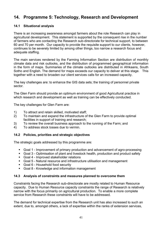# **14. Programme 5: Technology, Research and Development**

# **14.1 Situational analysis**

There is an increasing awareness amongst farmers about the role Research can play in agricultural development. This statement is supported by the consequent rise in the number of farmers who are contacting the Research sub-directorate for technical support, to between 60 and 70 per month. Our capacity to provide the requisite support to our clients, however, continues to be severely limited by among other things, too narrow a research focus and adequate staffing.

The main services rendered by the Farming Information Section are distribution of monthly climate data and risk outlooks, and the distribution of programmed geographical information in the form of maps. Summaries of the climate outlooks are distributed in Afrikaans, South Sotho and English. The demand for maps exceeds our capacity to deliver at this stage. This together with a need to broaden our client services calls for an increased capacity.

The key challenges are: to enhance the GIS data sets; the training of personnel private sector.

The Glen Farm should provide an optimum environment of good Agricultural practice in which research and development as well as training can be effectively conducted.

The key challenges for Glen Farm are:

- 1) To attract and retain skilled, motivated staff;
- 2) To maintain and expand the infrastructure of the Glen Farm to provide optimal facilities in support of training and research;
- 3) To review the overall business approach to the running of the Farm; and
- 4) To address stock losses due to vermin.

### **14.2 Policies, priorities and strategic objectives**

The strategic goals addressed by this programme are:

- Goal 1 Improvement of primary production and advancement of agro-processing
- Goal 3 Optimisation of plant and livestock health, production and product safety
- Goal 4 Improved stakeholder relations
- Goal 5 Natural resource and infrastructure utilisation and management
- Goal 6 Household food security
- Goal 8 Knowledge and information management

### **14.3 Analysis of constraints and measures planned to overcome them**

Constraints facing the Research sub-directorate are mostly related to Human Resource capacity. Due to Human Resource capacity constraints the range of Research is relatively narrow with the focus primarily on agricultural production. To enable a more complete service from Research these constraints will have to be addressed.

The demand for technical expertise from the Research unit has also increased to such an extent, due to, amongst others, a lack of expertise within the ranks of extension services,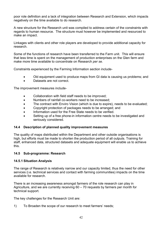poor role definition and a lack of integration between Research and Extension, which impacts negatively on the time available to do research.

A new structure for the Research unit was compiled to address certain of the constraints with regards to human resource. The structure must however be implemented and resourced to make an impact.

Linkages with clients and other role players are developed to provide additional capacity for research.

Some of the functions of research have been transferred to the Farm unit. This will ensure that less time is spent on the management of production enterprises on the Glen farm and make more time available to concentrate on Research *per se.* 

Constraints experienced by the Farming Information section include-

- Old equipment used to produce maps from GI data is causing us problems; and
- Datasets are not correct.

The improvement measures include-

- Collaboration with field staff needs to be improved;
- Numbers of rainfall co-workers need to be increased;
- The contract with Enviro Vision (which is due to expire), needs to be evaluated;
- Copyright protection of packages needs to be arranged; and
- Information used for the Free State needs to be verified.
- Setting up of a free phone-in information centre needs to be investigated and seriously considered.

#### **14.4 Description of planned quality improvement measures**

The quality of maps distributed within the Department and other outside organisations is high, but efforts must be made to shorten the production period of all outputs. Training for staff, enhanced data, structured datasets and adequate equipment will enable us to achieve this.

#### **14.5 Sub-programme: Research**

#### **14.5.1 Situation Analysis**

The range of Research is relatively narrow and our capacity limited, thus the need for other services (i.e. technical services and contact with farming communities) impacts on the time available for research.

There is an increasing awareness amongst farmers of the role research can play in Agriculture, and we are currently receiving 60 – 70 requests by farmers per month for technical support.

The key challenges for the Research Unit are:

1) To Broaden the scope of our research to meet farmers' needs;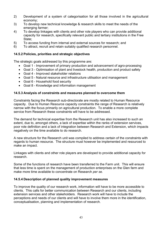- 2) Development of a system of categorisation for all those involved in the agricultural economy;
- 3) To develop new technical knowledge & research skills to meet the needs of the emerging farmer;
- 4) To develop linkages with clients and other role players who can provide additional capacity for research, specifically relevant public and tertiary institutions in the Free State;
- 5) To access funding from internal and external sources for research; and
- 6) To attract, recruit and retain suitably qualified research personnel.

# **14.5.2 Policies, priorities and strategic objectives**

The strategic goals addressed by this programme are:

- Goal 1 Improvement of primary production and advancement of agro-processing
- Goal 3 Optimisation of plant and livestock health, production and product safety
- Goal 4 Improved stakeholder relations
- Goal 5 Natural resource and infrastructure utilisation and management
- Goal 6 Household food security
- Goal 8 Knowledge and information management

# **14.5.3 Analysis of constraints and measures planned to overcome them**

Constraints facing the Research sub-directorate are mostly related to Human Resource capacity. Due to Human Resource capacity constraints the range of Research is relatively narrow with the focus primarily on agricultural production. To enable a more complete service from Research these constraints will have to be addressed.

The demand for technical expertise from the Research unit has also increased to such an extent, due to, amongst others, a lack of expertise within the ranks of extension services, poor role definition and a lack of integration between Research and Extension, which impacts negatively on the time available to do research.

A new structure for the Research unit was compiled to address certain of the constraints with regards to human resource. The structure must however be implemented and resourced to make an impact.

Linkages with clients and other role players are developed to provide additional capacity for research.

Some of the functions of research have been transferred to the Farm unit. This will ensure that less time is spent on the management of production enterprises on the Glen farm and make more time available to concentrate on Research *per se.*

### **14.5.4 Description of planned quality improvement measures**

To improve the quality of our research work, information will have to be more accessible to clients. This calls for better communication between Research and our clients, including extension services and other stakeholders. Research work will have to include the perceptions and needs of our clients and will have to involve them more in the identification, conceptualisation, planning and implementation of research.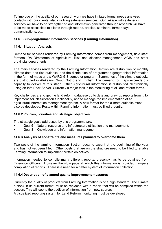To improve on the quality of our research work we have initiated formal needs analyses contacts with our clients, also involving extension services. Our linkage with extension services will have to be strengthened and information generated through research will have to be made accessible to clients through reports, articles, seminars, farmer days, demonstrations, etc.

# **14.6 Sub-programme: Information Services (Farming Information)**

## **14.6.1 Situation Analysis**

Demand for services rendered by Farming Information comes from management, field staff, farmers, DA Directorate of Agricultural Risk and disaster management, AGIS and other provincial departments.

The main services rendered by the Farming Information Section are distribution of monthly climate data and risk outlooks, and the distribution of programmed geographical information in the form of maps and a WARD GIS computer program. Summaries of the climate outlooks are distributed in Afrikaans, South Sotho and English. The demand for maps exceeds our capacity to deliver at this stage. Other Agricultural Information is distributed electronically using an Info Pack Server. Currently a major task is the monitoring of all land reform farms.

Key challenges are to get the land reform database up to date and draw up reports from it, to implement soil classification functionality, and to manage the implementation of an agricultural information management system. A new format for the climate outlooks must also be developed. Posts within Farming Information must be filled urgently.

## **14.6.2 Policies, priorities and strategic objectives**

The strategic goals addressed by this programme are:

- Goal 5 Natural resource and infrastructure utilisation and management.
- Goal 8 Knowledge and information management

### **14.6.3 Analysis of constraints and measures planned to overcome them**

Two posts of the farming Information Section became vacant at the beginning of the year and has not yet been filled. Other posts that are on the structure need to be filled to enable Farming Information to implement certain objectives.

Information needed to compile many different reports, presently has to be obtained from Extension Officers. However the slow pace at which this information is provided hampers compilation of reports. There is a need for a better system of information collection.

### **14.6.4 Description of planned quality improvement measures**

Currently the quality of products from Farming Information is of a high standard. The climate outlook in its current format must be replaced with a report that will be compiled within the section. This will see to the addition of information from new sources.

A visualized reporting system for Land Reform monitoring must be developed.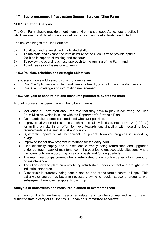# **14.7 Sub-programme: Infrastructure Support Services (Glen Farm)**

# **14.6.1 Situation Analysis**

The Glen Farm should provide an optimum environment of good Agricultural practice in which research and development as well as training can be effectively conducted.

The key challenges for Glen Farm are:

- 5) To attract and retain skilled, motivated staff;
- 6) To maintain and expand the infrastructure of the Glen Farm to provide optimal facilities in support of training and research;
- 7) To review the overall business approach to the running of the Farm; and
- 8) To address stock losses due to vermin.

# **14.6.2 Policies, priorities and strategic objectives**

The strategic goals addressed by this programme are:

- Goal 3 Optimisation of plant and livestock health, production and product safety
- Goal 8 Knowledge and information management

# **14.6.3 Analysis of constraints and measures planned to overcome them**

A lot of progress has been made in the following areas:

- Motivation of Farm staff about the role that they have to play in achieving the Glen Farm Mission, which is in line with the Department's Strategic Plan.
- Good agricultural practice introduced wherever possible.
- Improved utilization of resources such as old fallow fields planted to maize (120 ha) for milling on site in an effort to move towards sustainability with regard to feed requirements in the animal husbandry units.
- Systematic repairs to all mechanical equipment; however progress is limited by budget.
- Improved fodder flow program introduced for the dairy herd.
- Glen electricity supply and sub-stations currently being refurbished and upgraded under contract. Lack of maintenance in the past led to unacceptable situations where the power cuts were occurring on a daily basis and for long periods).
- The main rive pumps currently being refurbished under contract after a long period of no maintenance.
- The Glen Sewage plant currently being refurbished under contract and brought up to industrial standards.
- A reservoir is currently being constructed on one of the farm's central hilltops. This extra water source has become necessary owing to regular seasonal droughts with subsequent boreholes temporarily dying up.

### **Analysis of constraints and measures planned to overcome them**

The main constraints are human resources related and can be summarized as not having sufficient staff to carry out all the tasks. It can be summarized as follows: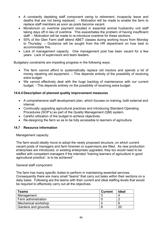- A constantly depleting staff component owing to retirement, incapacity leave and deaths that are not being replaced. – Motivation will be made to enable the farm to replace staff members as soon as posts become vacant.
- Moratorium on overtime payment resulted in essential animal husbandry unit staff taking days off in lieu of overtime. This exacerbates the problem of having insufficient staff. – Motivation will be made to re-introduce overtime for these sections.
- 50% of the Glen Farm staff attend ABET classes during working hours from Monday to Thursday. – Guidance will be sought from the HR department on how best to accommodate this.
- Lack of management capacity. One management post has been vacant for a few years. Lack of supervisors and team leaders.

Budgetary constraints are impeding progress in the following ways:

- The farm cannot afford to systematically replace old tractors and spends a lot of money repairing old equipment. – This depends entirely of the possibility of receiving extra budget.
- We cannot effectively deal with the huge backlog of maintenance with our current budget. - This depends entirely on the possibility of receiving extra budget.

### **14.6.4 Description of planned quality improvement measures**

- A comprehensive staff development plan, which focuses on training, both external and internal.
- Continually upgrading agricultural practices and introducing Standard Operating Procedures (SOP's) as part of the Quality Management (QM) system.
- Careful utilization of the budget to achieve objectives.
- Re-designing the farm so as to be fully accessible to learners of agriculture.

#### **14.7 Resource information**

Management capacity:

The farm would ideally move to adopt the newly proposed structure, on which current vacant posts of managers and farm foremen or supervisors are filled. As new production enterprises are introduced, or existing enterprises upgraded, they too would need to be staffed with competent managers if the intended "training learners of agriculture in good agricultural practice", is to be achieved".

#### General staff component:

The farm has many specific duties to perform in maintaining essential services. Consequently there are many small "teams" that carry out tasks within their sections on a daily basis. Following are the teams with their current and ideal staffing levels that would be required to effectively carry out all the objectives.

| <b>Teams</b>        | <b>Current</b> | <b>Ideal</b> |
|---------------------|----------------|--------------|
| Management          |                |              |
| Farm administration |                |              |
| Mechanical workshop |                |              |
| Gardens and grounds |                | റ്റ          |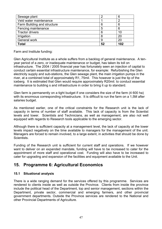| Sewage plant                | റ  | 6   |
|-----------------------------|----|-----|
| Veld water maintenance      |    |     |
| Farm Building and structure | 6  | 6   |
| Fencing maintenance         | 5  | 6   |
| <b>Tractor drivers</b>      | 6  | 10  |
| Irrigation                  | 8  | 20  |
| General work                | 9  | 20  |
| Total                       | 52 | 102 |

Farm and Institute funding:

Glen Agricultural Institute as a whole suffers from a backlog of general maintenance. A tenyear period of a zero, or inadequate maintenance or budget, has taken its toll on infrastructure. The 2004 / 2005 financial year has fortunately seen an injection of capital to conduct certain essential infrastructure maintenance, for example: Refurbishing the Glen electricity supply and sub-stations, the Glen sewage plant, the main irrigation pumps in the river, at a combined total of approximately R1, 75mil. This however is just the tip of the iceberg. It is estimated that Glen would require approximately R20mil. to conduct essential maintenance to building s and infrastructure in order to bring it up to standard.

Glen farm is permanently on a tight budget if one considers the size of the farm (4 600 ha) with its enormous corresponding infrastructure. It is difficult to run the farm on a 1,5M after salaries budget.

As mentioned earlier, one of the critical constraints for the Research unit is the lack of capacity in terms of number of staff available. This lack of capacity is from the Scientist levels and lower. Scientists and Technicians, as well as management, are also not well equipped with regards to Research tools applicable to the emerging sector.

Although there is sufficient capacity at a management level, the lack of capacity at the lower levels impact negatively on the time available to managers for the management of the unit. Managers are forced to remain involved, to a large extent, in activities that should be done by Scientists.

Funding of the Research unit is sufficient for current staff and operations. If we however want to deliver on an expanded mandate, funding will have to be increased to cater for the appointment of more staff and operational cost. Funding will also have to be increased to cater for upgrading and expansion of the facilities and equipment available to the Unit.

# **15. Programme 6: Agricultural Economics**

# **15.1 Situational analysis**

There is a wide ranging demand for the services offered by this programme. Services are rendered to clients inside as well as outside the Province. Clients from inside the province include the political head of the Department, top and senior management, sections within the Department, private sector, commercial and emerging farmers, and other provincial government departments. Outside the Province services are rendered to the National and other Provincial Departments of Agriculture.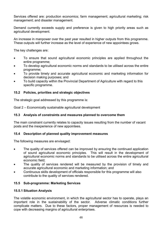Services offered are: production economics; farm management; agricultural marketing; risk management; and disaster management.

Demand currently exceeds supply and preference is given to high priority areas such as agricultural development.

An increase in manpower over the past year resulted in higher outputs from this programme. These outputs will further increase as the level of experience of new appointees grows.

The key challenges are:

- To ensure that sound agricultural economic principles are applied throughout the entire programme;
- To develop agricultural economic norms and standards to be utilised across the entire programme;
- To provide timely and accurate agricultural economic and marketing information for decision making purposes; and
- To build capacity within the Provincial Department of Agriculture with regard to this specific programme.

### **15.2 Policies, priorities and strategic objectives**

The strategic goal addressed by this programme is:

Goal 2 – Economically sustainable agricultural development

#### **15.3 Analysis of constraints and measures planned to overcome them**

The main constraint currently relates to capacity issues resulting from the number of vacant posts and the inexperience of new appointees.

#### **15.4 Description of planned quality improvement measures**

The following measures are envisaged:

- The quality of services offered can be improved by ensuring the continued application of sound agricultural economic principles. This will result in the development of agricultural economic norms and standards to be utilised across the entire agricultural economic field;
- The quality of services rendered will be measured by the provision of timely and accurate agricultural economic and marketing information; and
- Continuous skills development of officials responsible for this programme will also contribute to the quality of services rendered.

### **15.5 Sub-programme: Marketing Services**

#### **15.5.1 Situation Analysis**

The volatile economic environment, in which the agricultural sector has to operate, plays an important role in the sustainability of the sector. Adverse climatic conditions further complicate matters. Due to these factors, proper management of resources is needed to cope with decreasing margins of agricultural enterprises.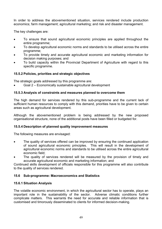In order to address the abovementioned situation, services rendered include production economics; farm management; agricultural marketing; and risk and disaster management.

The key challenges are:

- To ensure that sound agricultural economic principles are applied throughout the entire programme;
- To develop agricultural economic norms and standards to be utilised across the entire programme;
- To provide timely and accurate agricultural economic and marketing information for decision making purposes; and
- To build capacity within the Provincial Department of Agriculture with regard to this specific programme.

# **15.5.2 Policies, priorities and strategic objectives**

The strategic goals addressed by this programme are:

• Goal 2 – Economically sustainable agricultural development

# **15.5.3 Analysis of constraints and measures planned to overcome them**

The high demand for services rendered by this sub-programme and the current lack of sufficient human resources to comply with this demand, priorities have to be given to certain areas such as agricultural development.

Although the abovementioned problem is being addressed by the new proposed organisational structure, none of the additional posts have been filled or budgeted for.

### **15.5.4 Description of planned quality improvement measures**

The following measures are envisaged:

- The quality of services offered can be improved by ensuring the continued application of sound agricultural economic principles. This will result in the development of agricultural economic norms and standards to be utilised across the entire agricultural economic field;
- The quality of services rendered will be measured by the provision of timely and accurate agricultural economic and marketing information; and

Continued skills development of officials responsible for this programme will also contribute to the quality of services rendered.

# **15.6 Sub-programme: Macroeconomics and Statistics**

### **15.6.1 Situation Analysis**

The volatile economic environment, in which the agricultural sector has to operate, plays an important role in the sustainability of the sector. Adverse climatic conditions further complicate matters. This warrants the need for accurate and reliable information that is customised and timorously disseminated to clients for informed decision-making.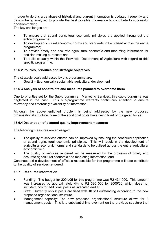In order to do this a database of historical and current information is updated frequently and data is being analyzed to provide the best possible information to contribute to successful decision-making.

The key challenges are:

- To ensure that sound agricultural economic principles are applied throughout the entire programme;
- To develop agricultural economic norms and standards to be utilised across the entire programme;
- To provide timely and accurate agricultural economic and marketing information for decision making purposes; and
- To build capacity within the Provincial Department of Agriculture with regard to this specific programme.

# **15.6.2 Policies, priorities and strategic objectives**

The strategic goals addressed by this programme are:

• Goal 2 – Economically sustainable agricultural development

### **15.6.3 Analysis of constraints and measures planned to overcome them**

Due to priorities set for the Sub-programme: Marketing Services, this sub-programme was neglected in the past. This sub-programme warrants continuous attention to ensure relevancy and timorously availability of information.

Although the abovementioned problem is being addressed by the new proposed organisational structure, none of the additional posts have being filled or budgeted for yet.

### **15.6.4 Description of planned quality improvement measures**

The following measures are envisaged:

- The quality of services offered can be improved by ensuring the continued application of sound agricultural economic principles. This will result in the development of agricultural economic norms and standards to be utilised across the entire agricultural economic field;
- The quality of services rendered will be measured by the provision of timely and accurate agricultural economic and marketing information; and

Continued skills development of officials responsible for this programme will also contribute to the quality of services rendered.

### **15.7 Resource information**

- Funding: The budget for 2004/05 for this programme was R2 431 000. This amount was increased by approximately 4% to R2 530 000 for 2005/06, which does not include funds for additional posts as indicated earlier.
- Staff: Currently only 8 posts are filled with 10 still outstanding according to the new proposed organisational structure.
- Management capacity: The new proposed organisational structure allows for 3 management posts. This is a substantial improvement on the previous structure that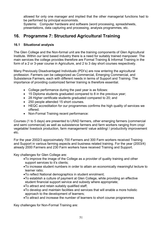allowed for only one manager and implied that the other managerial functions had to be performed by principal economists.

Systems: Computer hardware and software (word processing, spreadsheets, presentations, data capturing and processing, analysis programmes, etc.

# **16. Programme 7: Structured Agricultural Training**

# **16.1 Situational analysis**

The Glen College and the Non-formal unit are the training components of Glen Agricultural Institute. Within our land based industry there is a need for suitably trained manpower. The main services the college provides therefore are Formal Training & Informal Training in the form of a 2 or 3-year course in Agriculture, and 2 to 3 day short courses respectively.

Many Previously Disadvantaged Individuals (PDI's) are now entering the agricultural profession. Farmers can be categorized as Commercial, Emerging Commercial, and Subsistence Farmers, each with different needs in terms of Support and Training. The importance of providing customized farmer training is therefore essential.

- College performance during the past year is as follows:
- 15 Diploma students graduated compared to 8 in the previous year;
- 28 Higher certificate students graduated compared to 20; and
- 250 people attended 15 short courses.
- HEQC accreditation for our programmes confirms the high quality of services we offered.
- Non-Formal Training recent performance:

Courses (1 to 5 days) are presented to LRAD farmers, other emerging farmers (commercial and semi commercial) as well as subsistence farmers and farm workers ranging from crop/ vegetable/ livestock production, farm management/ value adding/ / productivity improvement etc.

For the year 2002/3 approximately 700 Farmers and 300 Farm workers received Training and Support in various farming aspects and business related training. For the year (2003/4) already 2000 Farmers and 230 Farm workers have received Training and Support.

Key challenges for Glen College are:

- •To improve the image of the College as a provider of quality training and other support services to it's clients;
- •To increase student numbers in order to attain an economically meaningful lecture to learner ratio;
- •To reflect National demographics in student enrolment;
- •To establish a culture of payment at Glen College, while providing an effective student financial support service and subsidy where appropriate;
- •To attract and retain suitably qualified staff;
- •To develop and maintain facilities and services that will enable a more holistic approach to the development of learners;
- •To attract and increase the number of learners to short course programmes

Key challenges for Non-Formal Training are: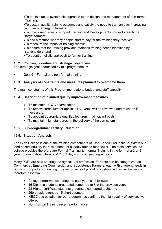- •To put in place a systematic approach to the design and management of non-formal Training;
- •To sustain quality training outcomes and satisfy the need to train an ever increasing number of emerging farmers;
- •To unlock resources to support Training and Development in order to reach the target farmers;
- •To find a method whereby people start to pay for the training they receive;
- •To measure the impact of training clients;
- •To ensure that the training provided matches training needs identified by stakeholders; and
- To adopt a holistic approach to farmer training.

# **16.2 Policies, priorities and strategic objectives**

The strategic goal addressed by this programme is:

• Goal 9 – Formal and non-formal training

# **16.3 Analysis of constraints and measures planned to overcome them**

The main constraints of this Programme relate to budget and staff capacity.

# **16.4 Description of planned quality improvement measures**

- To maintain HEQC accreditation.
- To review curriculum for applicability. Notes will be reviewed and rewritten if necessary.
- To appoint appropriate qualified lecturers in all vacant posts.
- To maintain high standards in the delivery of the curriculum

# **16.5 Sub-programme: Tertiary Education**

### **16.5.1 Situation Analysis**

The Glen College is one of the training components of Glen Agricultural Institute. Within our land based industry there is a need for suitably trained manpower. The main services the college provides therefore are Formal Training & Informal Training in the form of a 2 or 3 year course in Agriculture, and 2 to 3 day short courses respectively.

Many PDI's are now entering the agricultural profession. Farmers can be categorized as Commercial, Emerging Commercial, and Subsistence Farmers, each with different needs in terms of Support and Training. The importance of providing customized farmer training is therefore essential.

- College performance during the past year is as follows:
- 15 Diploma students graduated compared to 8 in the previous year;
- 28 Higher certificate students graduated compared to 20; and
- 250 people attended 15 short courses.
- HEQC accreditation for our programmes confirms the high quality of services we offered.
- Non-Formal Training recent performance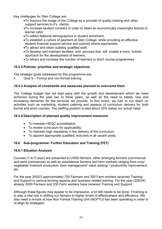Key challenges for Glen College are:

- •To improve the image of the College as a provider of quality training and other support services to it's clients;
- •To increase student numbers in order to attain an economically meaningful lecture to learner ratio;
- •To reflect National demographics in student enrolment;
- •To establish a culture of payment at Glen College, while providing an effective student financial support service and subsidy where appropriate;
- •To attract and retain suitably qualified staff;
- •To develop and maintain facilities and services that will enable a more holistic approach for the development of learners;
- •To attract and increase the number of learners to short course programmes

### **16.5.2 Policies, priorities and strategic objectives**

The strategic goals addressed by this programme are:

• Goal 9 – Formal and non-formal training

#### **16.5.3 Analysis of constraints and measures planned to overcome them**

The College budget has not kept pace with the growth and development which we have achieved during the past two to three years, as well as the need to satisfy new and increasing demands for the services we provide. In this event, we had to cut down on activities such as marketing, student catering and aspects of curriculum delivery for both formal and short courses. The staffing position is also about 20% below our actual need.

#### **16.5.4 Description of planned quality improvement measures**

- To maintain HEQC accreditation.
- To review curriculum for applicability.
- To maintain high standards in the delivery of the curriculum.
- To appoint appropriate qualified, lecturers in all vacant posts.

### **16.6 Sub-programme: Further Education and Training (FET)**

#### **16.6.1 Situation Analysis**

Courses (1 to 5 days) are presented to LRAD farmers, other emerging farmers (commercial and semi commercial) as well as subsistence farmers and farm workers ranging from crop/ vegetable/ livestock production, farm management/ value adding/ / productivity improvement etc.

For the year 2002/3 approximately 700 Farmers and 300 Farm workers received Training and Support in various farming aspects and business related training. For the year (2003/4) already 2000 Farmers and 230 Farm workers have received Training and Support.

Although these figures may appear to be impressive, a lot still needs to be done, if training is to play a vital role in skilling our farmers to higher levels of effectiveness and efficiency. We also need a re-look at how Non Formal Training Unit (NOFTU) has been operating in order to re-align its strategies: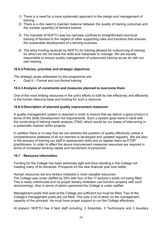- 1) There is a need for a more systematic approach to the design and management of training
- 2) There is a dire need to maintain balance between the quality of training outcomes and the number (quantity) of farmers trained.
- 3) The mandate of NOFTU was too narrowly confined to straightforward technical training of farmers to the neglect of other supporting roles and functions that ensures the sustainable development of a farming business.
- 4) The extra funding received by NOFTU for training allowed for outsourcing of training for which we did not have the skills and manpower to manage. We are equally responsible to ensure quality management of outsourced training as we do with our own training.

### **16.6.2 Policies, priorities and strategic objectives**

The strategic goals addressed by this programme are:

• Goal 9 – Formal and non-formal training

#### **16.6.3 Analysis of constraints and measures planned to overcome them**

One of the most limiting resources in the unit's efforts to fulfil its role effectively and efficiently is the human resource base and funding for such a resource.

#### **16.6.4 Description of planned quality improvement measures**

A quality management system is required in order to ensure that we deliver a good product in terms of the Skills Development Act requirements. Such a system goes hand in hand with the conducting of training needs analysis (TNA), which would be our bases of intervening in a systematic manner within projects.

In addition there is no way that we can address the question of quality effectively unless a comprehensive database of all our learners is developed and updated regularly. We are also in the process of training our staff in assessment skills and to register them as ETDP practitioners. In order to affect the above improvement measures resources are required in terms of increased working capital and recruitment of personnel.

### **16.7 Resource information**

Funding for the College has been extremely tight and thus resulting in the College not meeting many of its demands. Prospects for the new financial year look better.

Human resources are any tertiary institution's most valuable resources. The College was under staffed by 20% with four of the 17 lecturer's posts not being filled. This is really unfortunate and no proper tertiary institution can function properly with such shortcomings. Also in terms of admin personnel the College is under staffed.

Management posts that exist at the College are sufficient but must be filled. Two of the College's management posts are not filled. This puts a lot of strain on the management capacity of the principal. He must have proper support to run the College effectively.

At present, NOFTU has 9 field staff including, 3 Scientists, 3 Technicians and 3 Auxiliary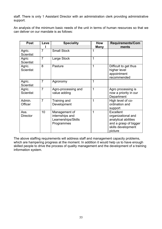staff. There is only 1 Assistant Director with an administration clerk providing administrative support.

An analysis of the minimum basic needs of the unit in terms of human resources so that we can deliver on our mandate is as follows:

| <b>Post</b>                | Leve           | <b>Speciality</b>                                                     | <b>How</b>  | <b>Requirements/Com</b>                                                                                           |
|----------------------------|----------------|-----------------------------------------------------------------------|-------------|-------------------------------------------------------------------------------------------------------------------|
|                            |                |                                                                       | <b>Many</b> | ments                                                                                                             |
| Agric.<br><b>Scientist</b> | $\overline{7}$ | <b>Small Stock</b>                                                    |             |                                                                                                                   |
| Agric<br><b>Scientist</b>  | $\overline{7}$ | Large Stock                                                           | 1           |                                                                                                                   |
| Agric.<br><b>Scientist</b> | 8              | Pasture                                                               | 1           | Difficult to get thus<br>higher level<br>appointment<br>recommended                                               |
| Agric.<br><b>Scientist</b> | $\overline{7}$ | Agronomy                                                              | 1           |                                                                                                                   |
| Agric.<br><b>Scientist</b> | $\overline{7}$ | Agro-processing and<br>value adding                                   | 1           | Agro processing is<br>now a priority in our<br>Department                                                         |
| Admin.<br>Officer          | $\overline{7}$ | Training and<br>Development                                           | 1           | High level of co-<br>ordination and<br>support                                                                    |
| Ass.<br><b>Director</b>    | 10             | Management of<br>internships and<br>Learnerships/Skills<br>Programmes | 1           | Excellent<br>organizational and<br>analytical abilities<br>and a grasp of bigger<br>skills development<br>picture |

The above staffing requirements will address staff and management capacity problems, which are hampering progress at the moment. In addition it would help us to have enough skilled people to drive the process of quality management and the development of a training information system.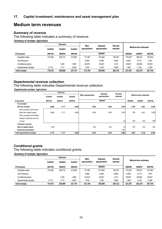# **Medium term revenues**

#### **Summary of revenue**

The following table indicates a summary of revenue:

#### **Summary of receipts: Agriculture**

|                       |                | Outcome |         | Main          | Adiusted      |                     |                       |         |         |
|-----------------------|----------------|---------|---------|---------------|---------------|---------------------|-----------------------|---------|---------|
|                       | <b>Audited</b> | Audited | Audited | appropriation | appropriation | Revised<br>estimate | Medium-term estimates |         |         |
| R thousand            | 2001/02        | 2002/03 | 2003/04 |               | 2004/05       |                     | 2005/06               | 2006/07 | 2007/08 |
| Equitable share       | 176.395        | 206.772 | 215.667 | 171.067       | 215.562       | 194.781             | 179.278               | 188.421 | 197,842 |
| Own Revenue           |                |         |         | 6.460         | 6.460         | 6.460               | 6.630                 | 6,715   | 7,051   |
| Conditional grants    |                | 1.400   | 1.800   | 33.816        | 35.261        | 1,013               | 39.657                | 46.006  | 59,941  |
| Departmental receipts | 3.115          | 1.717   | 4,280   | 1,816         | 1.816         | 2.869               | 1,942                 | 2,136   | 2,350   |
| <b>Total receipts</b> | 179.510        | 209.889 | 221.747 | 213.159       | 259.099       | 205,123             | 227.507               | 243.278 | 267,184 |

#### **Departmental revenue collection**

The following table indicates Departmental revenue collection:

**Departmental receipts: Agriculture**

|                                    | Outcome |         | Adjusted |                           | Revised                   |       |                       |         |         |
|------------------------------------|---------|---------|----------|---------------------------|---------------------------|-------|-----------------------|---------|---------|
|                                    | Audited | Audited | Audited  | <b>Main appropriation</b> | appropriation<br>estimate |       | Medium-term estimates |         |         |
| R thousand                         | 2001/02 | 2002/03 | 2003/04  |                           | 2004/05                   |       | 2005/06               | 2006/07 | 2007/08 |
| <b>Tax receipts</b>                |         |         |          |                           |                           |       |                       |         |         |
| Non-tax receipts                   | 2,846   | 1,717   | 4,280    | 1,596                     | 1,596                     | 1,876 | 1,196                 | 1,861   | 2,050   |
| Sale of goods and services         |         |         |          |                           |                           |       |                       |         |         |
| other than capital assets          | 2,846   | 1,717   | 4,280    | 1.596                     | 1,596                     | 1,833 | 796                   | 1,461   | 1,650   |
| Fines, penalties and forfeits      |         |         |          |                           |                           |       |                       |         |         |
| Interest, dividends and rent       |         |         |          |                           |                           |       |                       |         |         |
| on land                            |         |         |          |                           |                           | 43    | 400                   | 400     | 400     |
| <b>Transfers received</b>          |         |         |          |                           |                           |       |                       |         |         |
| Sale of capital assets             | 269     |         |          | 220                       | 220                       | 32    | 746                   | 275     | 300     |
| <b>Financial transactions</b>      |         |         |          |                           |                           | 961   |                       |         |         |
| <b>Total departmental receipts</b> | 3,115   | 1,717   | 4,280    | 1,816                     | 1,816                     | 2,869 | 1,942                 | 2,136   | 2,350   |

### **Conditional grants**

The following table indicates conditional grants:

#### **Summary of receipts: Agriculture**

|                       |                | Outcome        |         | Main<br>Adiusted |               | Revised  |         |                       |         |
|-----------------------|----------------|----------------|---------|------------------|---------------|----------|---------|-----------------------|---------|
|                       | <b>Audited</b> | <b>Audited</b> | Audited | appropriation    | appropriation | estimate |         | Medium-term estimates |         |
| R thousand            | 2001/02        | 2002/03        | 2003/04 |                  | 2004/05       |          | 2005/06 | 2006/07               | 2007/08 |
| Equitable share       | 176.395        | 206.772        | 215.667 | 171.067          | 215,562       | 194,781  | 179.278 | 188.421               | 197,842 |
| Own Revenue           |                |                |         | 6,460            | 6,460         | 6,460    | 6,630   | 6,715                 | 7,051   |
| Conditional grants    |                | .400           | 1.800   | 33.816           | 35.261        | 1,013    | 39,657  | 46,006                | 59,941  |
| Departmental receipts | 3.115          | 1.717          | 4,280   | 1,816            | 1,816         | 2,869    | 1,942   | 2.136                 | 2,350   |
| <b>Total receipts</b> | 179.510        | 209.889        | 221,747 | 213.159          | 259.099       | 205,123  | 227.507 | 243,278               | 267,184 |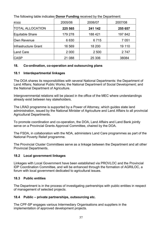The following table indicates **Donor Funding** received by the Department:

| R'000                   | 2005/06 | 2006/07 | 2007/08 |
|-------------------------|---------|---------|---------|
| <b>TOTAL ALLOCATION</b> | 225 565 | 241 142 | 255 657 |
| Equitable Share         | 179 278 | 188 421 | 197 842 |
| Own Revenue             | 6630    | 6715    | 7 0 5 1 |
| Infrastructure Grant    | 16 569  | 18 200  | 19 110  |
| <b>Land Care</b>        | 2 0 0 0 | 2 500   | 2 7 4 7 |
| <b>CASP</b>             | 21 088  | 25 306  | 38084   |

# **18. Co-ordination, co-operation and outsourcing plans**

# **18.1 Interdepartmental linkages**

The DOA shares its responsibilities with several National Departments: the Department of Land Affairs; National Public Works; the National Department of Social Development; and the National Department of Agriculture.

Intergovernmental relations will be placed in the office of the MEC where understandings already exist between key stakeholders.

The LRAD programme is supported by a Power of Attorney, which guides state land administration, issued by the National Minister of Agriculture and Land Affairs to all provincial Agricultural Departments.

To promote coordination and co-operation, the DOA, Land Affairs and Land Bank jointly serve on a Provincial Grants Approval Committee, chaired by the DOA.

The FSDA, in collaboration with the NDA, administers Land Care programmes as part of the National Poverty Relief programme.

The Provincial Cluster Committees serve as a linkage between the Department and all other Provincial Departments.

# **18.2 Local government linkages**

Linkages with Local Government have been established via PROVLOC and the Provincial IDP Coordination Committee, and will be enhanced through the formation of AGRILOC, a forum with local government dedicated to agricultural issues.

# **18.3 Public entities**

The Department is in the process of investigating partnerships with public entities in respect of management of selected projects.

# **18.4 Public – private partnerships, outsourcing etc.**

The CPF-SP engages various Intermediary Organisations and suppliers in the implementation of approved development projects.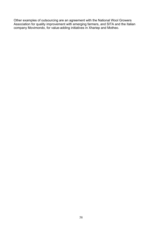Other examples of outsourcing are an agreement with the National Wool Growers Association for quality improvement with emerging farmers, and SITA and the Italian company Movimondo, for value-adding initiatives in Xhariep and Motheo.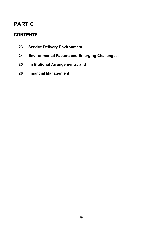# **PART C**

# **CONTENTS**

- **23 Service Delivery Environment;**
- **24 Environmental Factors and Emerging Challenges;**
- **25 Institutional Arrangements; and**
- **26 Financial Management**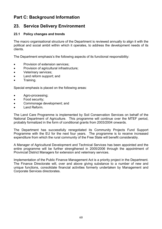# **Part C: Background Information**

# **23. Service Delivery Environment**

## **23.1 Policy changes and trends**

The macro organisational structure of the Department is reviewed annually to align it with the political and social ambit within which it operates, to address the development needs of its clients.

The Department emphasis's the following aspects of its functional responsibility:

- Provision of extension services:
- Provision of agricultural infrastructure;
- Veterinary services;
- Land reform support; and
- Training.

Special emphasis is placed on the following areas:

- Agro-processing;
- Food security;
- Commonage development; and
- Land Reform.

The Land Care Programme is implemented by Soil Conservation Services on behalf of the National Department of Agriculture. This programme will continue over the MTEF period, probably formalized in the form of conditional grants from 2003/2004 onwards.

The Department has successfully renegotiated its Community Projects Fund Support Programme with the EU for the next four years. The programme is to receive increased expenditure from which the rural community of the Free State will benefit considerably.

A Manager of Agricultural Development and Technical Services has been appointed and the entire programme will be further strengthened in 2005/2006 through the appointment of Provincial District Managers for extension and veterinary services.

Implementation of the Public Finance Management Act is a priority project in the Department. The Finance Directorate will, over and above giving substance to a number of new and unique functions, consolidate financial activities formerly undertaken by Management and Corporate Services directorates.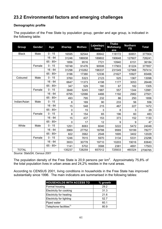# **23.2 Environmental factors and emerging challenges**

# **Demographic profile**

The population of the Free State by population group, gender and age group, is indicated in the following table:

| Group        | Gender | Age         | <b>Xhariep</b> | <b>Motheo</b> | Lejwelepu<br>tswa | <b>Thabo</b><br><b>Mofutsany</b><br>ane | <b>Northern</b><br><b>FS</b> | <b>Total</b> |
|--------------|--------|-------------|----------------|---------------|-------------------|-----------------------------------------|------------------------------|--------------|
| <b>Black</b> | Male   | $0 - 15$    | 16595          | 92544         | 89942             | 118172                                  | 60651                        | 377904       |
|              |        | $16 - 64$   | 31246          | 186938        | 189802            | 190648                                  | 127607                       | 726241       |
|              |        | $65 - 85 +$ | 1856           | 9516          | 7721              | 10940                                   | 6151                         | 36184        |
|              | Female | $0 - 15$    | 16748          | 91476         | 90506             | 117903                                  | 61224                        | 377857       |
|              |        | $16 - 64$   | 31298          | 210262        | 196337            | 231549                                  | 127968                       | 797414       |
|              |        | $65 - 85 +$ | 3196           | 17380         | 12336             | 21627                                   | 10927                        | 65466        |
| Coloured     | Male   | $0 - 15$    | 3760           | 5323          | 2123              | 525                                     | 1367                         | 13098        |
|              |        | $16 - 64$   | 6647           | 11373         | 4198              | 1177                                    | 3053                         | 26448        |
|              |        | $65 - 85 +$ | 347            | 529           | 180               | 67                                      | 182                          | 1305         |
|              | Female | $0 - 15$    | 3848           | 5245          | 1987              | 557                                     | 1344                         | 12981        |
|              |        | $16 - 64$   | 6795           | 12066         | 4466              | 1192                                    | 2982                         | 27501        |
|              |        | $65 - 85+$  | 493            | 795           | 232               | 86                                      | 250                          | 1856         |
| Indian/Asian | Male   | $0 - 15$    | 8              | 169           | 90                | 233                                     | 56                           | 556          |
|              |        | $16 - 64$   | 15             | 548           | 215               | 467                                     | 227                          | 1472         |
|              |        | $65 - 85 +$ | 0              | 15            | 3                 | 8                                       | 3                            | 29           |
|              | Female | $0 - 15$    | 8              | 154           | 65                | 196                                     | 60                           | 483          |
|              |        | $16 - 64$   | 15             | 437           | 153               | 373                                     | 152                          | 1130         |
|              |        | $65 - 85 +$ | 0              | 17            | 12                | 9                                       | 9                            | 47           |
| White        | Male   | $0 - 15$    | 1251           | 8063          | 6040              | 3222                                    | 5472                         | 24048        |
|              |        | $16 - 64$   | 3969           | 27752         | 18788             | 9569                                    | 18199                        | 78277        |
|              |        | $65 - 85 +$ | 822            | 3562          | 2548              | 1695                                    | 3402                         | 12029        |
|              | Female | $0 - 15$    | 1246           | 7615          | 5970              | 3134                                    | 5331                         | 23296        |
|              |        | $16 - 64$   | 3933           | 30778         | 19710             | 10203                                   | 19016                        | 83640        |
|              |        | $65 - 85 +$ | 1141           | 5702          | 3588              | 2381                                    | 4691                         | 17503        |
| <b>TOTAL</b> |        |             | 135237         | 728259        | 657012            | 725933                                  | 460324                       | 2706765      |

*Source: StatsSA, Census 2001* 

The population density of the Free State is 20,9 persons per  $km^2$ . Approximately 75,8% of the total population lives in urban areas and 24,2% resides in the rural areas.

According to CENSUS 2001, living conditions in households in the Free State has improved substantially since 1996. The main indicators are summarised in the following tables:

| <b>HOUSEHOLDS WITH ACCESS TO</b>   | % growth |
|------------------------------------|----------|
| Formal housing                     | 29.2     |
| Electricity for cooking            | 31.3     |
| <b>Electricity for heating</b>     | 21.6     |
| <b>Electricity for lighting</b>    | 52.7     |
| Piped water                        | 60.1     |
| Telephone facilities <sup>1)</sup> |          |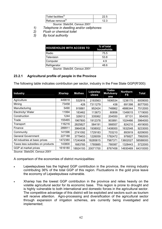| $T$ oilet facilities <sup>2)</sup> |  |
|------------------------------------|--|
| Refuse removal <sup>37</sup>       |  |

 *Source: StatsSA, Census 2001*

- *1) Telephone in dwelling and/or cellphones*
- *2) Flush or chemical toilet*
- *3) By local authority*

| <b>HOUSEHOLDS WITH ACCESS TO</b> | % of total<br>households |
|----------------------------------|--------------------------|
| Radio                            | 75.5                     |
| Television                       | 53.8                     |
| Computer                         | 4.9                      |
| Refrigerator                     | 48.6                     |

*Source: StatsSA, Census 2001* 

#### **23.2.1 Agricultural profile of people in the Province**

The following table indicates contribution per sector, industry in the Free State GGP(R'000):

| <b>Industry</b>                  | <b>Xhariep</b> | <b>Motheo</b> | Lejwelep<br>utswa | Thabo<br><b>Mofutsany</b><br>ane | <b>Northern</b><br>FS | <b>Total</b> |
|----------------------------------|----------------|---------------|-------------------|----------------------------------|-----------------------|--------------|
| Agriculture                      | 449818         | 532916        | 2183563           | 1606534                          | 1236170               | 6009000      |
| Mining                           | 73458          | 428           | 7311279           | 438                              | 691398                | 8077000      |
| Manufacturing                    | 5490           | 918881        | 952424            | 748862                           | 4886344               | 7512000      |
| Electricity/ Water               | 11994          | 183462        | 113673            | 60856                            | 1349015               | 1719000      |
| Construction                     | 1244           | 326012        | 335062            | 204550                           | 87131                 | 954000       |
| Trade                            | 155465         | 1967800       | 1912378           | 903891                           | 1024466               | 5964000      |
| Transport                        | 116216         | 2825827       | 584191            | 568557                           | 824210                | 4919000      |
| Finance                          | 289911         | 3964538       | 1938002           | 1408000                          | 1632548               | 9233000      |
| Community                        | 141596         | 2741092       | 1729183           | 703210                           | 893919                | 6209000      |
| <b>General Government</b>        | 227188         | 3779453       | 1226059           | 1782472                          | 976827                | 7992000      |
| All industries at basic prices   | 1472380        | 17240408      | 18285815          | 7987371                          | 13602027              | 58588000     |
| Taxes less subsidies on products | 143800         | 1683785       | 1785885           | 780087                           | 1328443               | 5722000      |
| GGP at market prices             | 1616180        | 18924193      | 20071700          | 8767458                          | 14930469              | 64310000     |

*Source: StatsSA, Census 2001* 

A comparison of the economies of district municipalities:

- Lejweleputswa has the highest GGP contribution in the province, the mining industry contributing 36% of the total GGP of this region. Fluctuations in the gold price leave the economy of Lejweleputswa vulnerable.
- Xhariep has the lowest GGP contribution in the province and relies heavily on the volatile agricultural sector for its economic base. This region is prone to drought and is highly vulnerable to both international and domestic forces in the agricultural sector. The competitive advantage of this district will be exploited and sectors such as tourism will receive attention. Agro-processing and diversification of the agricultural sector through expansion of irrigation schemes, are currently being investigated and implemented;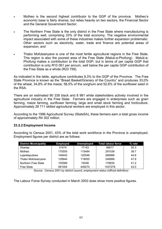- Motheo is the second highest contributor to the GGP of the province. Motheo's economic base is fairly diverse, but relies heavily on two sectors, the Financial Sector and the General Government Sector;
- The Northern Free State is the only district in the Free State where manufacturing is performing well, comprising 33% of the total economy. The negative environmental impact associated with some of these industries makes further expansion problematic. Other sectors such as electricity, water, trade and finance are potential areas of expansion; and
- Thabo Mofutsanyane is one of the most fertile agricultural regions in the Free State. This region is also the poorest area of the Free State (Maluti-a-Phofung). Maluti-a-Phofung makes a contribution to the total GGP, but in terms of per capita GGP that contribution is only R10 061 per annum, well below the per capita GGP contribution of the Free State as a whole (R23 759).

As indicated in the table, agriculture contributes 9,3% to the GGP of the Province. The Free State Province is known as the "Bread Basket/Granary of the Country" and produces 33,0% of the wheat, 34,8% of the maize, 58,5% of the sorghum and 52,6% of the sunflower seed in the RSA.

There are an estimated 90 339 black and 8 981 white stakeholders actively involved in the agricultural industry in the Free State. Farmers are engaged in enterprises such as grain farming, maize farming, sunflower farming, large and small stock farming and horticulture. Approximately 28 711 skilled agricultural workers are employed in this sector.

According to the 1996 Agricultural Survey (StatsSA), these farmers earn a total gross income of approximately R4 302 million.

### **23.2.2 Employment Income**

According to Census 2001, 43% of the total work workforce in the Province is unemployed. Employment figures per district are as follows:

| <b>District Municipality</b> | <b>Employed</b> | <b>Unemployed</b> | <b>Total labour force</b> | % rate |
|------------------------------|-----------------|-------------------|---------------------------|--------|
| <b>Xhariep</b>               | 31474           | 17143             | 48617                     | 35.3   |
| Motheo                       | 175555          | 115484            | 291039                    | 39.7   |
| Lejweleputswa                | 148442          | 120546            | 268988                    | 44.8   |
| Thabo Mofutsanyane           | 129944          | 119055            | 248999                    | 47.8   |
| Northern Free State          | 105589          | 74046             | 179635                    | 41.2   |
| <b>Free State</b>            | 591004          | 446274            | 1037278                   | 43.0   |

*Source: Census 2001 by district council, employment status (official definition)* 

The Labour Force Survey conducted in March 2003 does show more positive figures.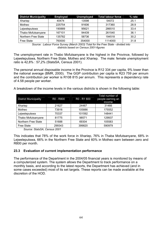| <b>District Municipality</b> | <b>Employed</b> | <b>Unemployed</b> | <b>Total labour force</b> | % rate |
|------------------------------|-----------------|-------------------|---------------------------|--------|
| Xhariep                      | 40474           | 13598             | 54072                     | 25.1   |
| Motheo                       | 225754          | 91606             | 317360                    | 28.9   |
| Lejweleputswa                | 190889          | 95621             | 286510                    | 33.4   |
| Thabo Mofutsanyane           | 167101          | 94439             | 261540                    | 36.1   |
| Northern Free State          | 135782          | 58736             | 194518                    | 30.2   |
| <b>Free State</b>            | 760000          | 354000            | 1114000                   | 31.8   |

*Source: Labour Force Survey (March 2003) Total for the Free State - divided into districts based on Census 2001-figures* 

The unemployment rate in Thabo Mofutsanyane is the highest in the Province, followed by Lejweleputswa, Northern Free State, Motheo and Xhariep. The male: female unemployment ratio is 42,8% : 57,2% (StatsSA, Census 2001).

The personal annual disposable income in the Province is R12 334 per capita, 9% lower than the national average (BMR, 2000). The GGP contribution per capita is R23 759 per annum and the contribution per worker is R108 815 per annum. This represents a dependency rate of 4.58 people per worker.

A breakdown of the income levels in the various districts is shown in the following table:

| <b>District Municipality</b> | R0 - R800 | R0 - R1 600 | Total number of<br>people earning an<br>income |
|------------------------------|-----------|-------------|------------------------------------------------|
| Xhariep                      | 21627     | 24467       | 31466                                          |
| Motheo                       | 73916     | 105886      | 175552                                         |
| Lejweleputswa                | 70337     | 101592      | 148441                                         |
| Thabo Mofutsanyane           | 81775     | 98571       | 129937                                         |
| Northern Free State          | 51688     | 69304       | 105583                                         |
| <b>Free State</b>            | 299343    | 399820      | 590979                                         |

*Source: StatsSA, Census 2001* 

This indicates that 78% of the work force in Xhariep, 76% in Thaba Mofutsanyane, 68% in Lejweleputswa, 66% in the Northern Free State and 60% in Motheo earn between zero and R800 per month.

#### **23.3 Evaluation of current implementation performance**

The performance of the Department in the 2004/05 financial years is monitored by means of a computerized system. The system allows the Department to track performance on a monthly basis, and according to the latest reports, the Department has achieved (and in some cases exceeded) most of its set targets. These reports can be made available at the discretion of the HOD.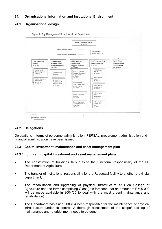# **24. Organisational Information and Institutional Environment**

# **24.1 Organisational design**



#### **24.2 Delegations**

Delegations in terms of personnel administration, PERSAL, procurement administration and financial administration have been issued.

#### **24.3 Capital investment, maintenance and asset management plan**

#### **24.3.1 Long-term capital investment and asset management plans**

- The construction of buildings falls outside the functional responsibility of the FS Department of Agriculture;
- The transfer of institutional responsibility for the Roodewal facility to another provincial department;
- The rehabilitation and upgrading of physical infrastructure at Glen College of Agriculture and the farms comprising Glen; (It is foreseen that an amount of R500 000 will be made available in 2004/05 to deal with the most urgent maintenance and rehabilitation).
- The Department has since 2003/04 been responsible for the maintenance of physical infrastructure under its control. A thorough assessment of the scope/ backlog of maintenance and refurbishment needs to be done.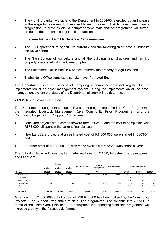• The working capital available to the Department in 2004/05 is eroded by an increase in the wage bill as a result of imposed levies in respect of skills development, wage progression, internships etc. A comprehensive maintenance programme will further erode the department's budget its core functions.

-------- Medium Term Maintenance Plans --------------

- The FS Department of Agriculture currently has the following fixed assets under its exclusive control:
- The Glen College of Agriculture and all the buildings and structures and farming property associated with the Glen-complex;
- The Weltevrede Office Park in Qwaqwa, formerly the property of Agri-Eco; and
- Thaba Nchu Office complex, also taken over from Agri-Eco.

The Department is in the process of compiling a computerised asset register for the implementation of an asset management system. During the implementation of the asset management system the status of the Departmental stock will be determined.

#### **24.3.2 Capital investment plan**

The Department manages three capital investment programmes: the LandCare Programme; the Integrated Livestock Management (aka Community Kraal Programme); and the Community Projects Fund Support Programme.

- LandCare projects were carried forward from 2002/03, and the cost of completion was R573 000, all spent in the current financial year;
- New LandCare projects at an estimated cost of R1 800 000 were started in 2003/04; and
- A further amount of R2 000 000 was made available for the 2004/05 financial year.

The following table indicates capital made available for CASP, infrastructure development and LandCare:

|                       |         | Outcome |         |                           | Adjusted      |                         |         |                       |         |
|-----------------------|---------|---------|---------|---------------------------|---------------|-------------------------|---------|-----------------------|---------|
|                       | Audited | Audited | Audited | <b>Main appropriation</b> | appropriation | <b>Revised estimate</b> |         | Medium-term estimates |         |
| R thousand            | 2000/01 | 2001/02 | 2002/03 |                           | 2003/04       |                         | 2004/05 | 2005/06               | 2006/07 |
| Equitable share       | 142.087 | 176,395 | 206.772 | 168.341                   | 215.094       | 180.728                 | 171.067 | 179.278               | 188,421 |
| Own revenue           |         |         |         |                           |               |                         | 6,460   | 6,630                 | 6,715   |
| Infrastructure grant  |         |         |         |                           |               |                         | 14,946  | 16,569                | 18,200  |
| LandCare grant        | 551     |         | 1,400   | 1,800                     | 2,373         | 2,298                   | 2,000   | 2,000                 | 2,500   |
| CASP                  |         |         |         |                           |               |                         | 16,870  | 21,088                | 25,306  |
| <b>Total receipts</b> | 142.638 | 176,395 | 208,172 | 170.141                   | 217.467       | 183.026                 | 211,343 | 225,565               | 241,142 |

An amount of R1 500 000 out of a total of R36 963 000 has been utilised by the Community Projects Fund Support Programme to date. The programme is to continue into 2005/06 in terms of the Third Work Plan and it is anticipated that spending from this programme will increase greatly in the foreseeable future.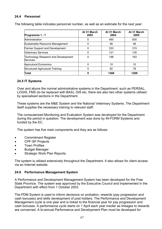# **24.4 Personnel**

The following table indicates personnel number, as well as an estimate for the next year:

| Programme 1 - 7                                        | At 31 March<br>2003 | At 31 March<br>2004 | At 31 March<br>2005 |
|--------------------------------------------------------|---------------------|---------------------|---------------------|
| Administration                                         | 0                   | 480                 | 500                 |
| Sustainable Resource Management                        | 0                   | 46                  | 48                  |
| <b>Farmer Support and Development</b>                  | 0                   | 333                 | 315                 |
| <b>Veterinary Services</b>                             | 0                   | 121                 | 135                 |
| <b>Technology Research and Development</b><br>Services | 0                   | 196                 | 183                 |
| <b>Agricutural Economics</b>                           | 0                   | 10                  | 10                  |
| <b>Structured Agricutural Training</b>                 | 0                   | 82                  | 78                  |
| Total                                                  | 0                   | 1268                | 1269                |

#### **24.5 IT Systems**

Over and above the normal administrative systems in the Department, such as PERSAL, LOGIS, FMS (to be replaced with BAS), GIS etc, there are also two other systems utilised by specialised sections in the Department.

These systems are the M&E System and the National Veterinary Systems. The Department itself supplies the necessary training to relevant staff.

The computerized Monitoring and Evaluation System was developed for the Department during the period in question. The development was done by IN-FORM Systems and funded by the EC.

The system has five main components and they are as follows:

- Commitment Register
- CPF-SP Projects
- Town Profiles
- Budget Manager
- **Strategic Work Plan Reports**

The system is utilised extensively throughout the Department. It also allows for client access via an Internet website.

#### **24.6 Performance Management System**

A Performance and Development Management System has been developed for the Free State Province. The system was approved by the Executive Council and implemented in the Department with effect from 1 October 2003.

The PDM System is used to inform decisions on probation, rewards (pay progression and cash bonuses) and skills development of post holders. The Performance and Development Management cycle is one year and is linked to the financial year for pay progression and cash bonuses. A performance cycle starts on 1 April each year insofar as linkages to rewards are concerned. A bi-annual Performance and Development Plan must be developed for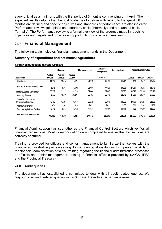every official as a minimum, with the first period of 6 months commencing on 1 April. The expected results/outputs that the post holder has to deliver with regard to the specific 6 months are defined and specific objectives and standards of performance are also indicated. Performance reviews take place on a quarterly basis (informally) and a bi-annual basis (formally). The Performance review is a formal overview of the progress made in reaching objectives and targets and provides an opportunity for corrective measures.

# **24.7 Financial Management**

The following table indicates financial management trends in the Department:

### **Summary of expenditure and estimates: Agriculture**

|                                         | Outcome        |                | Main appropriation | Adjusted<br>appropriation | Revised estimate |         | Medium-term estimates |         |         |
|-----------------------------------------|----------------|----------------|--------------------|---------------------------|------------------|---------|-----------------------|---------|---------|
|                                         | <b>Audited</b> | <b>Audited</b> | <b>Audited</b>     |                           |                  |         |                       |         |         |
| R thousand                              | 2001/02        | 2002/03        | 2003/04            |                           | 2004/05          |         | 2005/06               | 2006/07 | 2007/08 |
| Administration                          | 55,146         | 65,342         | 81,504             | 75,518                    | 87,456           | 65,367  | 74,174                | 76,559  | 80,219  |
| Sustainable Resource Management         | 5,215          | 8,073          | 11,502             | 26.084                    | 44,529           | 33,333  | 28,239                | 30,823  | 32,748  |
| Farmer Support & Development            | 35,537         | 31,122         | 39,219             | 52,044                    | 67,887           | 50,598  | 64.645                | 72,478  | 87,127  |
| <b>Veterinary Services</b>              | 6,333          | 18.810         | 20,296             | 23,457                    | 23,419           | 22,278  | 24,065                | 25,500  | 26.780  |
| Technology, Research &                  |                |                |                    |                           |                  |         |                       |         |         |
| Development Services                    | 10.769         | 13.207         | 16,743             | 20.235                    | 20,010           | 18,398  | 20.490                | 21,287  | 22,583  |
| Agricultural Economics                  | 854            | 1,609          | 2,010              | 2,431                     | 2,431            | 2,166   | 2,530                 | 2,629   | 2,789   |
| <b>Structured Agricuktural Training</b> | 5,745          | 8,153          | 11,752             | 11,574                    | 11,551           | 10,114  | 11,422                | 11,866  | 12,588  |
| Total payments and estimates:           | 119,599        | 146,316        | 183,026            | 211,343                   | 257,283          | 202,254 | 225,565               | 241,142 | 264,834 |

**Summary of payments and estimates: Agriculture**

Financial Administration has strengthened the Financial Control Section, which verifies all financial transactions. Monthly reconciliations are completed to ensure that transactions are correctly captured.

Training is provided for officials and senior management to familiarize themselves with the financial administrative processes (e.g. formal training at institutions to improve the skills of the financial administration officials, training regarding the financial administration processes to officials and senior management, training to financial officials provided by SAIGA, IPFA and the Provincial Treasury).

# **24.8 Audit queries**

The department has established a committee to deal with all audit related queries. We respond to all audit related queries within 30 days. Refer to attached annexures.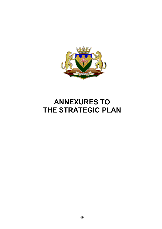

# **ANNEXURES TO THE STRATEGIC PLAN**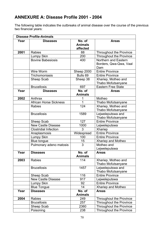# **ANNEXURE A: Disease Profile 2001 - 2004**

The following table indicates the outbreaks of animal disease over the course of the previous two financial years:

|      | <b>Disease Profile-Animals</b> |                                      |                                                       |
|------|--------------------------------|--------------------------------------|-------------------------------------------------------|
| Year | <b>Diseases</b>                | No. of<br><b>Animals</b><br>affected | <b>Areas</b>                                          |
| 2001 | <b>Rabies</b>                  | 88                                   | <b>Throughout the Province</b>                        |
|      | Lumpy Skin                     | 200                                  | Throughout the Province                               |
|      | <b>Bovine Babesiosis</b>       | 400                                  | Northern and Eastern<br>Borders, Qwa-Qwa, Vaal<br>Dam |
|      | Wire Worm                      | Sheep 2000                           | <b>Entire Province</b>                                |
|      | Trichomoniasis                 | Bulls <sub>69</sub>                  | <b>Entire Province</b>                                |
|      | Sheep Scab                     | Sheep 38                             | Xhariep, Motheo and<br>Thabo Mofutsanyane             |
|      | <b>Brucellosis</b>             | 697                                  | <b>Eastern Free State</b>                             |
| Year | <b>Diseases</b>                | No. of<br><b>Animals</b>             | <b>Areas</b>                                          |
| 2002 | Anthrax                        | 1                                    | Motheo                                                |
|      | <b>African Horse Sickness</b>  | 1                                    | Thabo Mofutsanyane                                    |
|      | <b>Rabies</b>                  | 124                                  | Xhariep, Motheo and<br>Thabo Mofutsanyane             |
|      | <b>Brucellosis</b>             | 1589                                 | Lejweleputswa and<br>Thabo Mofutsanyane               |
|      | Sheep Scab                     | 127                                  | <b>Entire Province</b>                                |
|      | <b>New Castle Disease</b>      | 1000                                 | Lejweleputswa                                         |
|      | <b>Clostridial Infection</b>   | 3                                    | <b>Xhariep</b>                                        |
|      | Anaplasmosis                   | Widespread                           | <b>Entire Province</b>                                |
|      | Lumpy Skin                     | 100                                  | <b>Entire Province</b>                                |
|      | Blue tongue                    | 15                                   | Xhariep and Motheo                                    |
|      | Pulmonary adeno matosis        | 3                                    | Motheo and<br>Lejweleputswa                           |
| Year | <b>Diseases</b>                | No. of<br><b>Animals</b>             | <b>Areas</b>                                          |
| 2003 | <b>Rabies</b>                  | 114                                  | Xhariep, Motheo and<br>Thabo Mofutsanyane             |
|      | <b>Brucellosis</b>             | 1457                                 | Lejweleputswa and<br>Thabo Mofutsanyane               |
|      | Sheep Scab                     | 116                                  | <b>Entire Province</b>                                |
|      | <b>New Castle Disease</b>      | 917                                  | Lejweleputswa                                         |
|      | Lumpy Skin                     | 92                                   | <b>Entire Province</b>                                |
|      | <b>Blue Tongue</b>             | 14                                   | Xhariep and Motheo                                    |
| Year | <b>Diseases</b>                | No. of<br><b>Animals</b>             | <b>Areas</b>                                          |
| 2004 | <b>Rabies</b>                  | 249                                  | <b>Throughout the Province</b>                        |
|      | <b>Brucellosis</b>             | 257                                  | Throughout the Province                               |
|      | Sheep Scab                     | 2360                                 | Throughout the Province                               |
|      | Poisoning                      | 238                                  | Throughout the Province                               |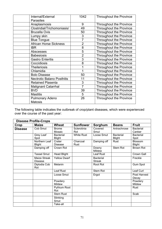| Internal/External                        | 1042           | <b>Throughout the Province</b> |
|------------------------------------------|----------------|--------------------------------|
| <b>Parasites</b>                         |                |                                |
| Anaplasmosis                             | 9              | <b>Throughout the Province</b> |
| Clostridial/Trichomoniasis/              | 49             | <b>Throughout the Province</b> |
| <b>Brucella Ovis</b>                     | 50             | Throughout the Province        |
| Lumpy skin                               | 3              | <b>Throughout the Province</b> |
| <b>Blue Tongue</b>                       | $\overline{7}$ | Throughout the Province        |
| <b>African Horse Sickness</b>            | $\overline{2}$ | Throughout the Province        |
| <b>IBR</b>                               | 8              | <b>Throughout the Province</b> |
| Abscesses                                | 5              | <b>Throughout the Province</b> |
| <b>Babesiosis</b>                        | $\overline{2}$ | <b>Throughout the Province</b> |
| <b>Gastro Enteritis</b>                  | 3              | <b>Throughout the Province</b> |
| Coccidiosis                              | 8              | <b>Throughout the Province</b> |
| <b>Theileriosis</b>                      | 1              | Throughout the Province        |
| Chlamidia                                | 1              | <b>Throughout the Province</b> |
| <b>Bolo Disease</b>                      | 50             | <b>Throughout the Province</b> |
| <b>Nectrotic Balano Posthitis</b>        | 11             | <b>Throughout the Province</b> |
| <b>Retained Plasenta</b>                 | 3              | <b>Throughout the Province</b> |
| <b>Malignant Catarrhal</b>               | $\overline{7}$ | Throughout the Province        |
| <b>BVD</b>                               | 39             | <b>Throughout the Province</b> |
| <b>Mastitis</b>                          | 5              | <b>Throughout the Province</b> |
| <b>Pulmonary Adeno</b><br><b>Matosis</b> | 26             | <b>Throughout the Province</b> |
|                                          |                |                                |

The following table indicates the outbreak of crop/plant diseases, which were experienced over the course of the past year:

|                | <b>Disease Profile-Crops</b>   |                                   |                    |                                   |                                   |                            |
|----------------|--------------------------------|-----------------------------------|--------------------|-----------------------------------|-----------------------------------|----------------------------|
| Crop           | <b>Maize</b>                   | Wheat                             | <b>Sunflower</b>   | Sorghum                           | <b>Beans</b>                      | <b>Fruit</b>               |
| <b>Disease</b> | Cob Smut                       | <b>Brome</b><br>Mosaic            | Sclerotinia<br>Rot | Covered<br>Smut                   | Antrachnose                       | <b>Bacterial</b><br>Canker |
|                | Grey Leaf<br>Spot              | <b>Bacterial</b><br><b>Blight</b> | <b>White Rust</b>  | Loose Smut                        | <b>Bacterial</b><br><b>Blight</b> | <b>Bacterial</b><br>Spot   |
|                | Northern Leaf<br><b>Blight</b> | Crater<br><b>Disease</b>          | Charcoal<br>Rust   | Damping off                       | Rust                              | Blossom<br><b>Blight</b>   |
|                | Damping off                    | Crown Rot                         |                    | Downy<br>Mildew                   | Stem Rot                          | <b>Brown Rot</b>           |
|                | <b>Tassel Smut</b>             | <b>Head Blight</b>                |                    | Leaf Rust                         |                                   | Crown Gall                 |
|                | Maize Streak<br><b>Disease</b> | <b>Yellow Dwarf</b>               |                    | <b>Bacterial</b><br><b>Streak</b> |                                   | Freckle                    |
|                | Diplodia Cob<br>Rot            | Melanin                           |                    | Root Rot                          |                                   | <b>Gum Spot</b>            |
|                |                                | Leaf Rust                         |                    | Stem Rot                          |                                   | Leaf Curl                  |
|                |                                | Loose Smut                        |                    | Ergot                             |                                   | Post Harvest<br>Decay      |
|                |                                | Powdery<br>Mildew                 |                    |                                   |                                   | Powdery<br>Mildew          |
|                |                                | Pythium Root<br>Rot               |                    |                                   |                                   | Rust                       |
|                |                                | <b>Stem Rust</b>                  |                    |                                   |                                   | Scab                       |
|                |                                | Stinking<br>Smut                  |                    |                                   |                                   |                            |
|                |                                | Take-all                          |                    |                                   |                                   |                            |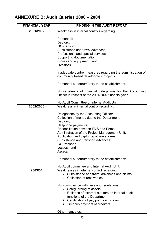# **ANNEXURE B: Audit Queries 2000 – 2004**

| <b>FINANCIAL YEAR</b> | <b>FINDING IN THE AUDIT REPORT</b>                                                                                                                                                                                                                                                                                                                                                                                                                                                            |  |  |  |  |
|-----------------------|-----------------------------------------------------------------------------------------------------------------------------------------------------------------------------------------------------------------------------------------------------------------------------------------------------------------------------------------------------------------------------------------------------------------------------------------------------------------------------------------------|--|--|--|--|
| 2001/2002             | Weakness in internal controls regarding:                                                                                                                                                                                                                                                                                                                                                                                                                                                      |  |  |  |  |
|                       | Personnel;<br>Debtors;<br>GG-transport;<br>Subsistence and travel advances;<br>Professional and special services;<br>Supporting documentation;<br>Stores and equipment; and<br>Livestock.<br>Inadequate control measures regarding the administration of<br>community based development projects.<br>Personnel supernumerary to the establishment.                                                                                                                                            |  |  |  |  |
|                       | Non-existence of financial delegations for the Accounting<br>Officer in respect of the 2001/2002 financial year.                                                                                                                                                                                                                                                                                                                                                                              |  |  |  |  |
|                       | No Audit Committee or Internal Audit Unit.                                                                                                                                                                                                                                                                                                                                                                                                                                                    |  |  |  |  |
| 2002/2003             | Weakness in internal control regarding:<br>Delegations by the Accounting Officer;<br>Collection of money due to the Department;<br>Debtors;<br>Cellphone payments;<br>Reconciliation between FMS and Persal;<br>Administration of the Project Management Unit;<br>Application and capturing of leave forms;<br>Subsistence and transport advances;<br>GG-transport;<br>Losses; and<br>Assets.<br>Personnel supernumerary to the establishment:<br>No Audit committee and Internal Audit Unit. |  |  |  |  |
| 2003/04               | Weaknesses in internal control regarding:<br>$\triangleright$ Subsistence and travel advances and claims<br>$\triangleright$ Collection of receivables<br>Non-compliance with laws and regulations:<br>$\triangleright$ Safeguarding of assets<br>> Reliance of external auditors on internal audit<br>functions of the Department<br>$\triangleright$ Certification of pay point certificates<br>$\triangleright$ Timeous payment of creditors<br>Other mandates:                            |  |  |  |  |